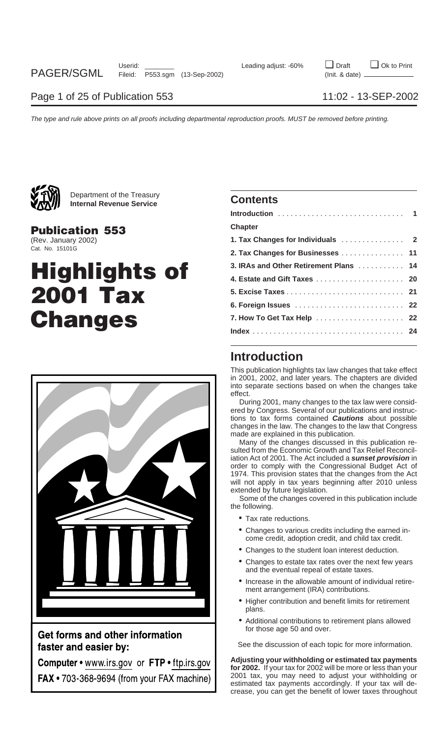

Department of the Treasury **Internal Revenue Service Contents**

## **Chapter Publication 553**

# **Highlights of 5. Excise Taxes** ............................ **<sup>21</sup> 2001 Tax 6. Foreign Issues** .......................... **<sup>22</sup>**  $$



Get forms and other information faster and easier by:

Computer • www.irs.gov or FTP • ftp.irs.gov FAX • 703-368-9694 (from your FAX machine)

| <u>алти</u>            |                                        |  |
|------------------------|----------------------------------------|--|
| <b>Publication 553</b> | <b>Chapter</b>                         |  |
| (Rev. January 2002)    |                                        |  |
| Cat. No. 15101G        | 2. Tax Changes for Businesses  11      |  |
|                        | 3. IRAs and Other Retirement Plans  14 |  |
| <b>Highlights of</b>   |                                        |  |
| <b>2001 Tax</b>        |                                        |  |
|                        |                                        |  |
| <b>Changes</b>         | 7. How To Get Tax Help  22             |  |
|                        |                                        |  |
|                        |                                        |  |

## **Introduction**

This publication highlights tax law changes that take effect in 2001, 2002, and later years. The chapters are divided into separate sections based on when the changes take effect.

During 2001, many changes to the tax law were considered by Congress. Several of our publications and instructions to tax forms contained **Cautions** about possible changes in the law. The changes to the law that Congress made are explained in this publication.

Many of the changes discussed in this publication resulted from the Economic Growth and Tax Relief Reconciliation Act of 2001. The Act included a **sunset provision** in order to comply with the Congressional Budget Act of 1974. This provision states that the changes from the Act will not apply in tax years beginning after 2010 unless extended by future legislation.

Some of the changes covered in this publication include the following.

- Tax rate reductions.
- Changes to various credits including the earned income credit, adoption credit, and child tax credit.
- Changes to the student loan interest deduction.
- Changes to estate tax rates over the next few years and the eventual repeal of estate taxes.
- Increase in the allowable amount of individual retirement arrangement (IRA) contributions.
- Higher contribution and benefit limits for retirement plans.
- Additional contributions to retirement plans allowed for those age 50 and over.

See the discussion of each topic for more information.

**Adjusting your withholding or estimated tax payments for 2002.** If your tax for 2002 will be more or less than your 2001 tax, you may need to adjust your withholding or estimated tax payments accordingly. If your tax will decrease, you can get the benefit of lower taxes throughout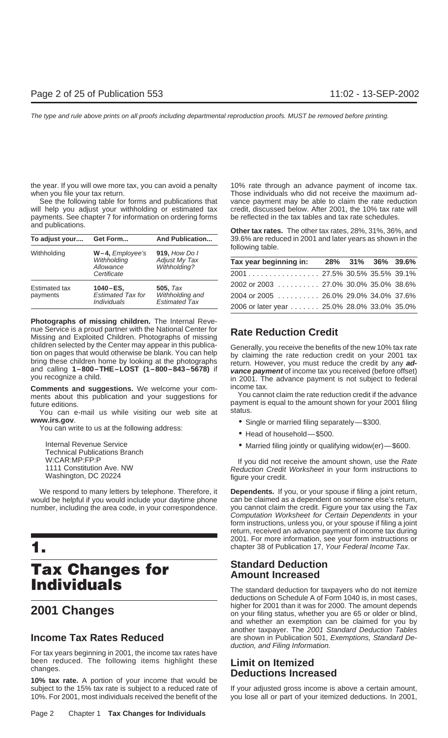the year. If you will owe more tax, you can avoid a penalty 10% rate through an advance payment of income tax. when you file your tax return. Those individuals who did not receive the maximum ad-

will help you adjust your withholding or estimated tax credit, discussed below. After 2001, the 10% tax rate will payments. See chapter 7 for information on ordering forms be reflected in the tax tables and tax rate schedu payments. See chapter 7 for information on ordering forms

| To adjust your       | Get Form                                                  | <b>And Publication</b> | 39.6% are redu   |
|----------------------|-----------------------------------------------------------|------------------------|------------------|
| Withholding          | $W-4$ , <i>Employee's</i>                                 | 919, How Do I          | following table. |
|                      | Withholding<br>Adjust My Tax<br>Withholding?<br>Allowance |                        | Tax year begi    |
|                      | Certificate                                               |                        | 2001             |
| <b>Estimated tax</b> | $1040 - ES$                                               | <b>505.</b> Tax        | 2002 or 2003     |
| payments             | <b>Estimated Tax for</b>                                  | Withholding and        | 2004 or 2005     |
|                      | <i><b>Individuals</b></i>                                 | <b>Estimated Tax</b>   | 2006 or later ve |

**Photographs of missing children.** The Internal Revenue Service is a proud partner with the National Center for **Rate Reduction Credit** Missing and Exploited Children. Photographs of missing children selected by the Center may appear in this publica-<br>tion on pages that would otherwise be blank. You can help<br>by claiming the rate reduction credit on your 2001 tax<br>bring these children home by looking at the phot

**Comments and suggestions.** We welcome your com-<br>ments about this publication and your suggestions for You cannot claim the rate reduction credit if the advance ments about this publication and your suggestions for

You can e-mail us while visiting our web site at **www.irs.gov**.<br>You can write to us at the following address:<br>• Head of household—\$500.

Internal Revenue Service **• Married filing jointly or qualifying widow(er)**—\$600.<br>
Technical Publications Branch<br>
W:CAR:MP:FP:P

would be helpful if you would include your daytime phone can be claimed as a dependent on someone else's return,

# **Tax Changes for** Standard Deduction<br> **Individuals**

For tax years beginning in 2001, the income tax rates have been reduced. The following items highlight these **Limit on Itemized** changes. **Deductions Increased**

**10% tax rate.** A portion of your income that would be subject to the 15% tax rate is subject to a reduced rate of If your adjusted gross income is above a certain amount, 10%. For 2001, most individuals received the benefit of the you lose all or part of your itemized deductions. In 2001,

See the following table for forms and publications that vance payment may be able to claim the rate reduction

and publications. **Other tax rates.** The other tax rates, 28%, 31%, 36%, and **To adjust your.... Get Form... And Publication...** 39.6% are reduced in 2001 and later years as shown in the

|                                     | Withholding<br>Allowance | Adjust My Tax<br>Withholding?              | Tax year beginning in:               |  | 28% 31% 36% 39.6% |
|-------------------------------------|--------------------------|--------------------------------------------|--------------------------------------|--|-------------------|
|                                     | Certificate              |                                            |                                      |  |                   |
| <b>Estimated tax</b>                | $1040 - ES$              | 505. $Tax$                                 | 2002 or 2003 27.0% 30.0% 35.0% 38.6% |  |                   |
| payments                            | <b>Estimated Tax for</b> | Withholding and                            | 2004 or 2005 26.0% 29.0% 34.0% 37.6% |  |                   |
| <b>Estimated Tax</b><br>Individuals |                          | 2006 or later year 25.0% 28.0% 33.0% 35.0% |                                      |  |                   |

and calling **1–800–THE–LOST (1–800–843–5678)** if **vance payment** of income tax you received (before offset) you recognize a child. in 2001. The advance payment is not subject to federal

future editions.<br>
Payment is equal to the amount shown for your 2001 filing<br>
You can e-mail us while visiting our web site at status.

- 
- 
- 

W:CAR:MP:FP:P<br>1111 Constitution Ave. NW The Mate of the Rate of the Rate of the Rate of the Rate of the Rate of the Rate of<br>Reduction Credit Worksheet in your form instructions to 1111 Constitution Ave. NW **Reduction Credit Worksheet** in your form instructions to Washington, DC 20224 figure your credit.

We respond to many letters by telephone. Therefore, it **Dependents.** If you, or your spouse if filing a joint return, number, including the area code, in your correspondence. you cannot claim the credit. Figure your tax using the Tax Computation Worksheet for Certain Dependents in your form instructions, unless you, or your spouse if filing a joint return, received an advance payment of income tax during 2001. For more information, see your form instructions or **1.** chapter 38 of Publication 17, Your Federal Income Tax.

The standard deduction for taxpayers who do not itemize deductions on Schedule A of Form 1040 is, in most cases, higher for 2001 than it was for 2000. The amount depends **2001 Changes** on your filing status, whether you are 65 or older or blind, and whether an exemption can be claimed for you by another taxpayer. The 2001 Standard Deduction Tables **Income Tax Rates Reduced** are shown in Publication 501, Exemptions, Standard Deduction, and Filing Information.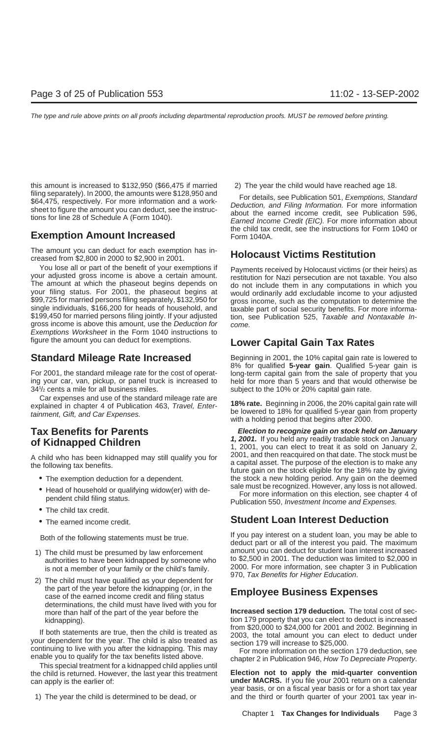this amount is increased to \$132,950 (\$66,475 if married 2) The year the child would have reached age 18. filing separately). In 2000, the amounts were \$128,950 and<br>\$64,475, respectively. For more information and a work-<br>sheet to figure the amount you can deduct, see the instruc-<br>tions for line 28 of Schedule A (Form 1040).<br>Ea

The amount you can deduct for each exemption has in- **Holocaust Victims Restitution** creased from \$2,800 in 2000 to \$2,900 in 2001.

You lose all or part of the benefit of your exemptions if<br>your adjusted gross income is above a certain amount.<br>The amount at which the phaseout begins depends on<br>your filing status. For 2001, the phaseout begins at<br>would \$199,450 for married persons filing jointly. If your adjusted tion, see Publication 525, *Taxable and Nontaxable In-*<br>gross income is above this amount, use the *Deduction for come.* Exemptions Worksheet in the Form 1040 instructions to figure the amount you can deduct for exemptions. **Lower Capital Gain Tax Rates**

For 2001, the standard mileage rate for the cost of operat- long-term capital gain from the sale of property that you ing your car, van, pickup, or panel truck is increased to held for more than 5 years and that would otherwise be 341/2 cents a mile for all business miles.

Car expenses and use of the standard mileage rate are<br>explained in chapter 4 of Publication 463, *Travel, Enter*-<br>tainment, Gift, and Car Expenses.<br>with a holding period that begins after 2000.

- 
- Head of household or qualifying widow(er) with de-<br>For more information on this election, see chapter 4 of<br>Publication 550, *Investment Income and Expenses*.
- The child tax credit.
- 

- 
- 2) The child must have qualified as your dependent for the part of the year before the kidnapping (or, in the **Employee Business Expenses** case of the earned income credit and filing status determinations, the child must have lived with you for

If both statements are true, then the child is treated as<br>your dependent for the year. The child is also treated as<br>continuing to live with you after the kidnapping. This may<br>enable you to qualify for the tax benefits list

can apply is the earlier of: **under MACRS.** If you file your 2001 return on a calendar

the child tax credit, see the instructions for Form 1040 or **Exemption Amount Increased** Form 1040A.

**Standard Mileage Rate Increased** Beginning in 2001, the 10% capital gain rate is lowered to 8% for qualified **5-year gain**. Qualified 5-year gain is subject to the 10% or 20% capital gain rate.

**Tax Benefits for Parents**<br> **Election to recognize gain on stock held on January**<br> **A Kidnannod Childron**<br> **A Kidnannod Childron 1, 2001.** If you held any readily tradable stock on January **of Kidnapped Children** 1, 2001, you can elect to treat it as sold on January 2, A child who has been kidnapped may still qualify you for<br>the following tax benefits.<br>future gain on the stock eligible for the 18% rate by giving • The exemption deduction for a dependent. The stock a new holding period. Any gain on the deemed

## • The earned income credit. **Student Loan Interest Deduction**

Both of the following statements must be true.<br>deduct part or all of the interest you paid. The maximum<br>must be true. 1) The child must be presumed by law enforcement amount you can deduct for student loan interest increased authorities to have been kidnapped by someone who to \$2,500 in 2001. The deduction was limited to \$2,000 in is not a member of your family or the child's family. 2000. For more information, see chapter 3 in Publication<br>970, Tax Benefits for Higher Education.

more than half of the part of the year before the **Increased section 179 deduction.** The total cost of seckidnapping).<br>from \$20,000 to \$24,000 for 2001 and 2002. Beginning in

the child is returned. However, the last year this treatment **Election not to apply the mid-quarter convention** year basis, or on a fiscal year basis or for a short tax year 1) The year the child is determined to be dead, or and the third or fourth quarter of your 2001 tax year in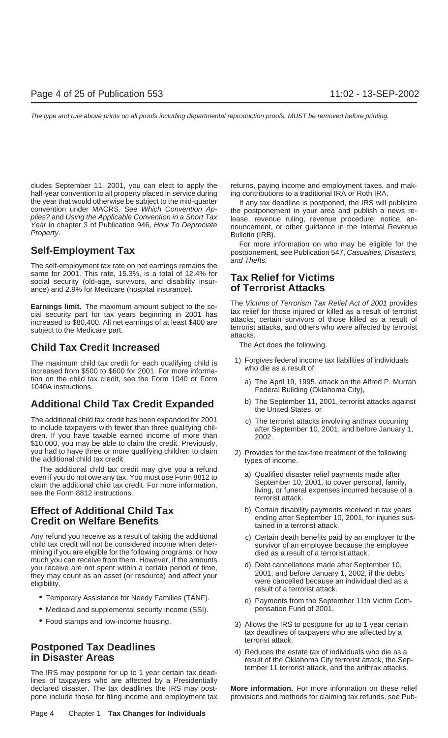cludes September 11, 2001, you can elect to apply the returns, paying income and employment taxes, and makhalf-year convention to all property placed in service during ing contributions to a traditional IRA or Roth IRA.

The self-employment tax rate on net earnings remains the same for 2001. This rate, 15.3%, is a total of 12.4% for same for 2001. This rate, 15.3%, is a total of 12.4% for **Tax Relief for Victims**<br>social security (old-age, survivors, and disability insur-<br>**of Terrorist Attacks** ance) and 2.9% for Medicare (hospital insurance).

## The Act does the following. **Child Tax Credit Increased**

The maximum child tax credit for each qualifying child is  $1)$  Forgives federal income tax liabilities of individuals increased from \$500 to \$600 for 2001. For more informa-<br>who die as a result of: tion on the child tax credit, see the Form 1040 or Form a) The April 19, 1995, attack on the Alfred P. Murrah 1040A instructions.

## **Additional Child Tax Credit Expanded** b) The September 11, 2001, terrorist attacks against

The additional child tax credit has been expanded for 2001 c) The terrorist attacks involving anthrax occurring<br>to include taxpayers with fewer than three qualifying chil-<br>dren. If you have taxable earned income of more th \$10,000, you may be able to claim the credit. Previously, you had to have three or more qualifying children to claim 2) Provides for the tax-free treatment of the following the additional child tax credit.

The additional child tax credit may give you a refund<br>even if you do not owe any tax. You must use Form 8812 to<br>claim the additional child tax credit. For more information,<br>see the Form 8812 instructions.<br>living, or funera

# **Credit on Welfare Benefits** ending after September 10, 2001, the sub- of the sus- tained in a terrorist attack.

Any refund you receive as a result of taking the additional c) Certain death benefits paid by an employer to the child tax credit will not be considered income when deter-<br>mining if you are eligible for the following progr you receive are not spent within a certain period of time,<br>they may count as an asset (or resource) and affect your<br>eligibility.<br>eligibility.

- 
- Medicaid and supplemental security income (SSI). pensation Fund of 2001.
- 

tember 11 terrorist attack, and the anthrax attacks.<br>The IRS may postpone for up to 1 year certain tax deadlines of taxpayers who are affected by a Presidentially declared disaster. The tax deadlines the IRS may post- **More information.** For more information on these relief pone include those for filing income and employment tax provisions and methods for claiming tax refunds, see Pub-

the year that would otherwise be subject to the mid-quarter<br>convention under MACRS. See Which Convention Ap-<br>plies? and Using the Applicable Convention in a Short Tax<br>Year in chapter 3 of Publication 946, How To Depreciate

For more information on who may be eligible for the **Self-Employment Tax** postponement, see Publication 547, Casualties, Disasters, and Thefts.

**Earnings limit.** The maximum amount subject to the so-<br>cial security part for tax years beginning in 2001 has<br>increased to \$80,400. All net earnings of at least \$400 are<br>subject to the Medicare part.<br>subject to the Medica

- -
	- the United States, or
	-
- -
- **Effect of Additional Child Tax** b) Certain disability payments received in tax years<br> **Crodit on Wolfare Bonefits**<br> **Crodit on Wolfare Bonefits** 
	-
	-
	- Temporary Assistance for Needy Families (TANF). e) Payments from the September 11th Victim Com-
	- Food stamps and low-income housing.  $\qquad \qquad$  3) Allows the IRS to postpone for up to 1 year certain tax deadlines of taxpayers who are affected by a terrorist attack.
- **Postponed Tax Deadlines**<br>
4) Reduces the estate tax of individuals who die as a<br>
result of the Oklahoma City terrorist attack, the Sep-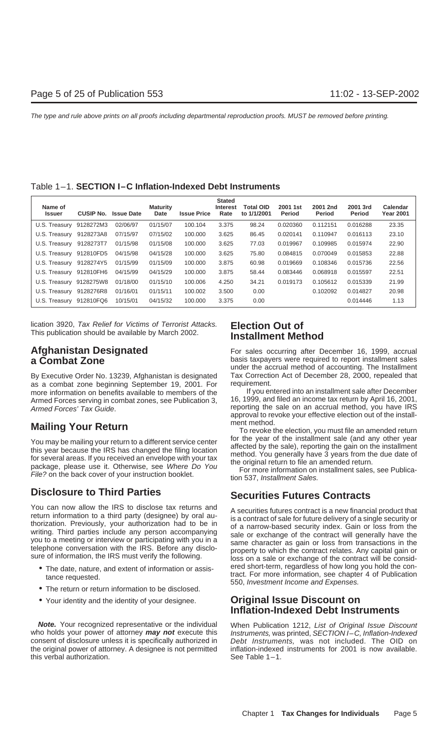| Name of<br><b>Issuer</b> | <b>CUSIP No.</b> | <b>Issue Date</b> | <b>Maturity</b><br>Date | <b>Issue Price</b> | <b>Stated</b><br><b>Interest</b><br>Rate | Total OID<br>to 1/1/2001 | 2001 1st<br><b>Period</b> | 2001 2nd<br>Period | 2001 3rd<br><b>Period</b> | Calendar<br><b>Year 2001</b> |
|--------------------------|------------------|-------------------|-------------------------|--------------------|------------------------------------------|--------------------------|---------------------------|--------------------|---------------------------|------------------------------|
| U.S. Treasury            | 9128272M3        | 02/06/97          | 01/15/07                | 100.104            | 3.375                                    | 98.24                    | 0.020360                  | 0.112151           | 0.016288                  | 23.35                        |
| U.S. Treasury            | 9128273A8        | 07/15/97          | 07/15/02                | 100.000            | 3.625                                    | 86.45                    | 0.020141                  | 0.110947           | 0.016113                  | 23.10                        |
| U.S. Treasury            | 9128273T7        | 01/15/98          | 01/15/08                | 100,000            | 3.625                                    | 77.03                    | 0.019967                  | 0.109985           | 0.015974                  | 22.90                        |
| U.S. Treasury            | 912810FD5        | 04/15/98          | 04/15/28                | 100.000            | 3.625                                    | 75.80                    | 0.084815                  | 0.070049           | 0.015853                  | 22.88                        |
| U.S. Treasury            | 9128274Y5        | 01/15/99          | 01/15/09                | 100.000            | 3.875                                    | 60.98                    | 0.019669                  | 0.108346           | 0.015736                  | 22.56                        |
| U.S. Treasury            | 912810FH6        | 04/15/99          | 04/15/29                | 100.000            | 3.875                                    | 58.44                    | 0.083446                  | 0.068918           | 0.015597                  | 22.51                        |
| U.S. Treasury            | 9128275W8        | 01/18/00          | 01/15/10                | 100,006            | 4.250                                    | 34.21                    | 0.019173                  | 0.105612           | 0.015339                  | 21.99                        |
| U.S. Treasury            | 9128276R8        | 01/16/01          | 01/15/11                | 100.002            | 3.500                                    | 0.00                     |                           | 0.102092           | 0.014827                  | 20.98                        |
| U.S. Treasury            | 912810FQ6        | 10/15/01          | 04/15/32                | 100.000            | 3.375                                    | 0.00                     |                           |                    | 0.014446                  | 1.13                         |

lication 3920, Tax Relief for Victims of Terrorist Attacks. **Election Out of** This publication should be available by March 2002. **Installment Method**

as a combat zone beginning September 19, 2001. For requirement.<br>more information on benefits available to members of the lif you entered into an installment sale after December more information on benefits available to members of the If you entered into an installment sale after December<br>Armed Forces serving in combat zones, see Publication 3 16, 1999, and filed an income tax return by April 16, Armed Forces serving in combat zones, see Publication 3, Armed Forces' Tax Guide. The reporting the sale on an accrual method, you have IRS

You may be mailing your return to a different service center<br>this year because the IRS has changed the filing location<br>for several areas. If you received an envelope with your tax<br>package, please use it. Otherwise, see *Wh* 

You can now allow the IRS to disclose tax returns and<br>return information to a third party (designee) by oral au-<br>thorization. Previously, your authorization had to be in<br>writing. Third parties include any person accompanyi

- 
- 
- Your identity and the identity of your designee. **Original Issue Discount on**

**Note.** Your recognized representative or the individual When Publication 1212, List of Original Issue Discount who holds your power of attorney *may not* execute this Instruments, was printed, SECTION I–C, Inflation-Index consent of disclosure unless it is specifically authorized in Debt Instruments, was not included. The OID on the original power of attorney. A designee is not permitted inflation-indexed instruments for 2001 is now available.<br>
See Table 1-1. this verbal authorization.

**Afghanistan Designated** For sales occurring after December 16, 1999, accrual **a Combat Zone basis taxpayers were required to report installment sales** under the accrual method of accounting. The Installment By Executive Order No. 13239, Afghanistan is designated Tax Correction Act of December 28, 2000, repealed that

approval to revoke your effective election out of the install-

**Mailing Your Return**<br>To revoke the election, you must file an amended return

## **Disclosure to Third Parties Securities Futures Contracts**

• The date, nature, and extent of information or assisentiated that the contract. For more information, see chapter 4 of Publication the requested.<br>
• The return or return information to be disclosed.<br>
• The return or retu

## **Inflation-Indexed Debt Instruments**

Instruments, was printed, SECTION I–C, Inflation-Indexed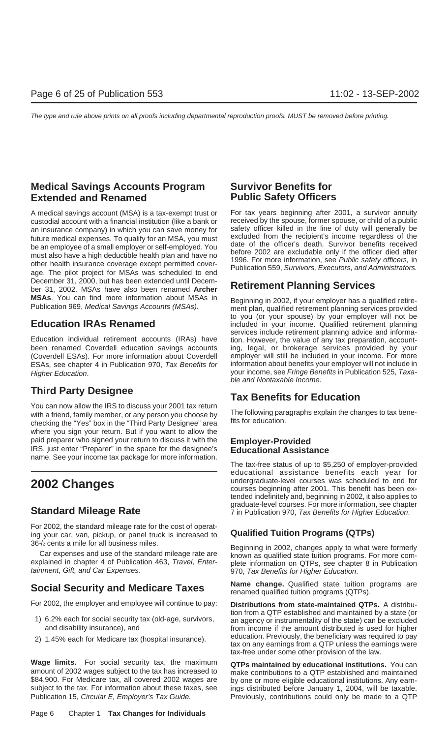## **Medical Savings Accounts Program Survivor Benefits for Extended and Renamed Public Safety Officers**

A medical savings account (MSA) is a tax-exempt trust or For tax years beginning after 2001, a survivor annuity custodial account with a financial institution (like a bank or received by the spouse, former spouse, or child of a public an insurance company) in which you can save money for safety officer killed in the line of duty will generally be<br>future medical expenses. To qualify for an MSA you must excluded from the recipient's income regardless of t future medical expenses. To qualify for an MSA, you must<br>be an employee of a small employer or self-employed. You<br>must also have a high deductible health plan and have no<br>other health insurance coverage except permitted co December 31, 2000, but has been extended until Decem-<br>ber 31, 2002. MSAs have also been renamed **Archer Retirement Planning Services** MSAs. You can find more information about MSAs in Beginning in 2002, if your employer has a qualified retire-<br>Publication 969, Medical Savings Accounts (MSAs). Thent plan, qualified retirement planning services provided

Education individual retirement accounts (IRAs) have tion. However, the value of any tax preparation, accountbeen renamed Coverdell education savings accounts ing, legal, or brokerage services provided by your (Coverdell ESAs). For more information about Coverdell employer will still be included in your income. For more ESAs, see chapter 4 in Publication 970, Tax Benefits for information about benefits your employer will not include in

You can now allow the IRS to discuss your 2001 tax return with a friend, family member, or any person you choose by The following paragraphs explain the changes to tax bene-<br>checking the "Xes" box in the "Third Party Designes" area fits for education. checking the "Yes" box in the "Third Party Designee" area where you sign your return. But if you want to allow the paid preparer who signed your return to discuss it with the **Employer-Provided** IRS, just enter "Preparer" in the space for the designee's **Educational Assistance** name. See your income tax package for more information.

For 2002, the standard mileage rate for the cost of operating your car, van, pickup, or panel truck is increased to **Qualified Tuition Programs (QTPs)** 36<sup>1</sup>/<sub>2</sub> cents a mile for all business miles.

For 2002, the employer and employee will continue to pay: Distributions from state-maintained QTPs. A distribu-

- 
- 

**Wage limits.** For social security tax, the maximum **QTPs maintained by educational institutions.** You can amount of 2002 wages subject to the tax has increased to make contributions to a OTP established and maintained amount of 2002 wages subject to the tax has increased to make contributions to a QTP established and maintained \$84,900. For Medicare tax, all covered 2002 wages are by one or more eligible educational institutions. Any earn-Publication 15, Circular E, Employer's Tax Guide. Previously, contributions could only be made to a QTP

to you (or your spouse) by your employer will not be **Education IRAs Renamed** in included in your income. Qualified retirement planning services include retirement planning advice and informa-Higher Education. The same of the section of the section of the seed of the seed Fringe Benefits in Publication 525, Taxa-<br>ble and Nontaxable Income.

## **Third Party Designee Tax Benefits for Education**

The tax-free status of up to \$5,250 of employer-provided educational assistance benefits each year for **2002 Changes 2002** Changes **2002** Changes **2001 2001 Courses beginning after 2001**. This benefit has been extended indefinitely and, beginning in 2002, it also applies to graduate-level courses. For more information, see chapter **Standard Mileage Rate** 7 in Publication 970, Tax Benefits for Higher Education.

Seginning in 2002, changes apply to what were formerly<br>Car expenses and use of the standard mileage rate are<br>explained in chapter 4 of Publication 463, Travel, Enter-<br>tainment, Gift, and Car Expenses.<br>970. Tax Benefits for 970, Tax Benefits for Higher Education.

**Social Security and Medicare Taxes Name change.** Qualified state tuition programs are **Social Security and Medicare Taxes** renamed qualified tuition programs (QTPs).

tion from a QTP established and maintained by a state (or<br>6.2% each for social security tax (old-age, survivors, an agency or instrumentality of the state) can be excluded<br>from income if the amount distributed is used for from income if the amount distributed is used for higher education. Previously, the beneficiary was required to pay 2) 1.45% each for Medicare tax (hospital insurance). tax on any earnings from a QTP unless the earnings were tax-free under some other provision of the law.

ings distributed before January 1, 2004, will be taxable.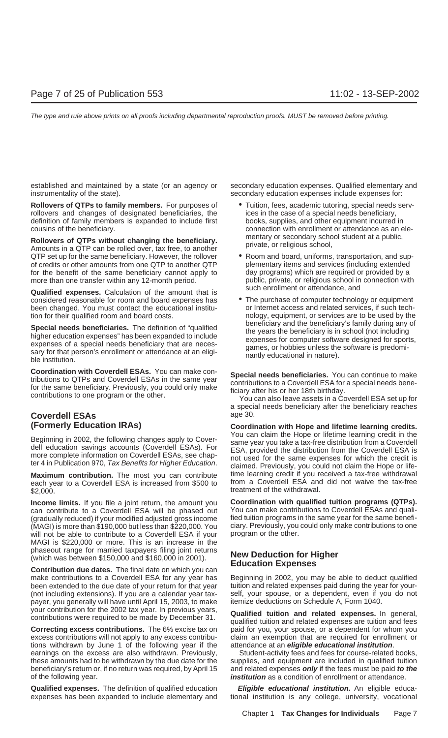established and maintained by a state (or an agency or secondary education expenses. Qualified elementary and instrumentality of the state). Secondary education expenses include expenses for:

**Rollovers of QTPs to family members.** For purposes of  $\bullet$  Tuition, fees, academic tutoring, special needs servrollovers and changes of designated beneficiaries, the ices in the case of a special needs beneficiary, definition of family members is expanded to include first books, supplies, and other equipment incurred in cousins of the beneficiary. connection with enrollment or attendance as an ele-

**Rollovers of QTPs without changing the beneficiary.** mentary or secondary school student at a public,<br>Amounts in a QTP can be rolled over, tax free, to another private, or religious school, QTP set up for the same beneficiary. However, the rollover • Room and board, uniforms, transportation, and sup-<br>of credits or other amounts from one QTP to another QTP plementary items and services (including extended of credits or other amounts from one QTP to another QTP for the benefit of the same beneficiary cannot apply to day programs) which are required or provided by a more than one transfer within any 12-month period. public, private, or religious school in connection with

such enrollment or attendance, and **Qualified expenses.** Calculation of the amount that is considered reasonable for room and board expenses has • The purchase of computer technology or equipment been changed. You must contact the educational institu- or Internet access and related services, if such techtion for their qualified room and board costs. nology, equipment, or services are to be used by the

**Special needs beneficiaries.** The definition of "qualified higher education expenses" has been expanded to include<br>expenses of a special needs beneficiary that are neces-<br>sary for that person's enrollment or attendance at

**Coordination with Coverdell ESAs.** You can make contributions to QTPs and Coverdell ESAs in the same year<br>for the same beneficiary. Previously, you could only make<br>contributions to a Coverdell ESA for a special needs bene

## **Coverdell ESAs** age 30.

each year to a Coverdell ESA is increased from \$500 to \$2,000. **the withdrawal.** See the withdrawal. The second test of the withdrawal.

can contribute to a Coverdell ESA will be phased out (gradually reduced) if your modified adjusted gross income fied tuition programs in the same year for the same benefi- (MAGI) is more than \$190,000 but less than \$220,000. You ciary. Previously, you could only make contributions to one<br>will not be able to contribute to a Coverdell ESA if your program or the other. will not be able to contribute to a Coverdell ESA if your MAGI is \$220,000 or more. This is an increase in the phaseout range for married taxpayers filing joint returns<br>(which was between \$150,000 and \$160,000 in 2001).<br>**Contribution due dates.** The final date on which you can<br>**Education Expenses** 

make contributions to a Coverdell ESA for any year has Beginning in 2002, you may be able to deduct qualified been extended to the due date of your return for that year tuition and related expenses paid during the year for your-(not including extensions). If you are a calendar year tax- self, your spouse, or a dependent, even if you do not payer, you generally will have until April 15, 2003, to make itemize deductions on Schedule A, Form 1040.

**Correcting excess contributions.** The 6% excise tax on paid for you, your spouse, or a dependent for whom you excess contributions will not apply to any excess contribu-<br>
claim an exemption that are required for enrollment or tions withdrawn by June 1 of the following year if the attendance at an **eligible educational institution**. earnings on the excess are also withdrawn. Previously, Student-activity fees and fees for course-related books, these amounts had to be withdrawn by the due date for the supplies, and equipment are included in qualified tuition beneficiary's return or, if no return was required, by April 15 and related expenses **only** if the fees must be paid **to the** of the following year. **institution** as a condition of enrollment or attendance.

**Qualified expenses.** The definition of qualified education **Eligible educational institution.** An eligible educaexpenses has been expanded to include elementary and tional institution is any college, university, vocational

- 
- 
- 

a special needs beneficiary after the beneficiary reaches

**(Formerly Education IRAs) Coordination with Hope and lifetime learning credits.** Beginning in 2002, the following changes apply to Cover-<br>dell education savings accounts (Coverdell ESAs). For<br>more complete information on Coverdell ESAs, see chap-<br>ter 4 in Publication 970, Tax Benefits for Higher Educat **Maximum contribution.** The most you can contribute time learning credit if you received a tax-free withdrawal each year to a Coverdell FSA is increased from \$500 to from a Coverdell ESA and did not waive the tax-free

**Income limits.** If you file a joint return, the amount you **Coordination with qualified tuition programs (QTPs).**

your contribution for the 2002 tax year. In previous years,<br>contributions were required to be made by December 31. qualified tuition and related expenses are tuition and fees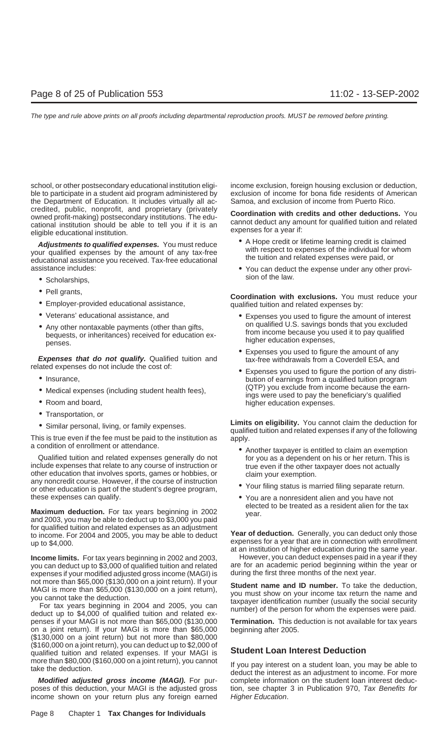ble to participate in a student aid program administered by exclusion of income for bona fide residents of American the Department of Education. It includes virtually all ac- Samoa, and exclusion of income from Puerto Rico. credited, public, nonprofit, and proprietary (privately<br>owned profit-making) postsecondary institutions. The edu-<br>cational institution should be able to tell you if it is an<br>eligible educational institution.<br>eligible educa

**Adjustments to qualified expenses.** You must reduce<br>your qualified expenses by the amount of any tax-free<br>educational assistance you received. Tax-free educational<br>the tuition and related expenses were paid, or<br>the tuitio

- Scholarships,
- 
- 
- 
- Any other nontaxable payments (other than gifts,<br>bequests, or inheritances) received for education ex-<br>penses.<br>penses.<br>higher education expenses,

**Expenses that do not qualify.** Qualified tuition and related expenses do not include the cost of:

- 
- 
- 
- Transportation, or
- 

This is true even if the fee must be paid to the institution as apply.<br>a condition of enrollment or attendance.

Qualified tuition and related expenses generally do not for you as a dependent on his or her return. This is include expenses that relate to any course of instruction or true even if the other taxpayer does not actually other education that involves sports, games or hobbies, or claim your exemption.<br>any noncredit course. However, if the course of instruction any noncreant course. However, if the course of instruction of Your filing status is married filing separate return. these expenses can qualify.  $\bullet$  You are a nonresident alien and you have not

**Maximum deduction.** For tax years beginning in 2002 year. and 2003, you may be able to deduct up to \$3,000 you paid for qualified tuition and related expenses as an adjustment<br>to income. For 2004 and 2005, you may be able to deduct<br>up to \$4,000.<br>at an institution of higher education during the same year.

**Income limits.** For tax years beginning in 2002 and 2003, However, you can deduct expenses paid in a year if they you can deduct up to \$3,000 of qualified tuition and related are for an academic period beginning within the year or<br>expenses if your modified adjusted gross income (MAGI) is during the first three months of the next year. expenses if your modified adjusted gross income (MAGI) is

penses if your MAGI is not more than \$65,000 (\$130,000 **Termination.** This deduction is not available for tax years on a joint return). If your MAGI is more than \$65,000 beginning after 2005. (\$130,000 on a joint return) but not more than \$80,000 (\$160,000 on a joint return), you can deduct up to \$2,000 of qualified tuition and related expenses. If your MAGI is **Student Loan Interest Deduction** more than \$80,000 (\$160,000 on a joint return), you cannot If you pay interest on a student loan, you may be able to take the deduction.

**Modified adjusted gross income (MAGI).** For pur-<br>poses of this deduction, your MAGI is the adjusted gross tion, see chapter 3 in Publication 970, Tax Benefits for income shown on your return plus any foreign earned Higher Education.

school, or other postsecondary educational institution eligi-<br>income exclusion, foreign housing exclusion or deduction,

- 
- assistance includes:<br>
 You can deduct the expense under any other provision of the law.

• Pell grants, **Coordination with exclusions.** You must reduce your • Employer-provided educational assistance, qualified tuition and related expenses by:

- Veterans' educational assistance, and Expenses you used to figure the amount of interest<br>• Any other portavely powments (other then gifte on qualified U.S. savings bonds that you excluded
	- Expenses you used to figure the amount of any tax-free withdrawals from a Coverdell ESA, and
- related expenses do not include the cost of: Expenses you used to figure the portion of any distri- Insurance, bution of earnings from a qualified tuition program • Medical expenses (including student health fees),  $QTP$  you exclude from income because the earn-<br>• Room and board, higher education expenses.

• Similar personal, living, or family expenses.<br> **Limits on eligibility.** You cannot claim the deduction for **public on the following**<br> **Limits on eligibility.** You cannot claim the deduction for

- Another taxpayer is entitled to claim an exemption
- 
- elected to be treated as a resident alien for the tax

not more than \$65,000 (\$130,000 on a joint return). If your<br>
MAGI is more than \$65,000 (\$130,000 on a joint return),<br>
you must show on your income tax return the name and<br>
you must show on your income tax return the name a

tion, see chapter 3 in Publication 970, Tax Benefits for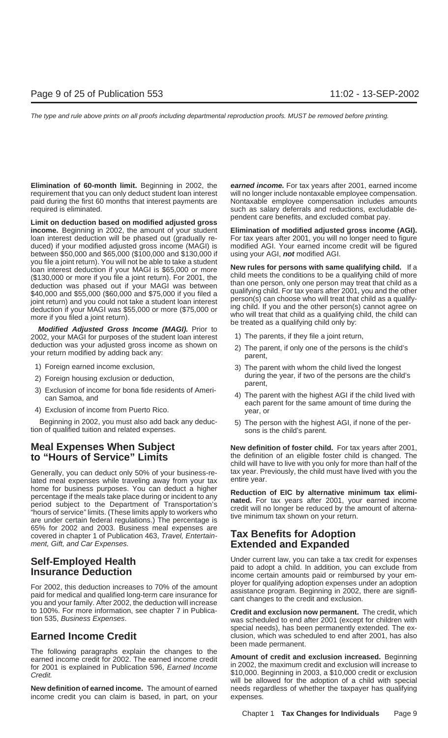**Elimination of 60-month limit.** Beginning in 2002, the **earned income.** For tax years after 2001, earned income requirement that you can only deduct student loan interest will no longer include nontaxable employee compensation. paid during the first 60 months that interest payments are Nontaxable employee compensation includes amounts required is eliminated. such as salary deferrals and reductions, excludable de-

pendent care benefits, and excluded combat pay. **Limit on deduction based on modified adjusted gross income.** Beginning in 2002, the amount of your student **Elimination of modified adjusted gross income (AGI).** loan interest deduction will be phased out (gradually re- For tax years after 2001, you will no longer need to figure duced) if your modified adjusted gross income (MAGI) is modified AGI. Your earned income credit will be figured between \$50,000 and \$65,000 (\$100,000 and \$130,000 if using your AGI, **not** modified AGI. you file a joint return). You will not be able to take a student<br>loan interest deduction if your MAGI is \$65,000 or more<br>(\$130,000 or more if you file a joint return). For 2001, the<br>deduction was phased out if your MAGI wa

**Modified Adjusted Gross Income (MAGI).** Prior to<br>02. your MAGI for purposes of the student loan interest [1] The parents, if they file a joint return, 2002, your MAGI for purposes of the student loan interest deduction was your adjusted gross income as shown on 2) The parent, if only one of the persons is the child's your return modified by adding back any: parent,

- 
- 
- 
- 

Beginning in 2002, you must also add back any deduc-<br>tion of qualified tuition and related expenses.<br>sons is the child's parent.

lated meal expenses while traveling away from your tax home for business purposes. You can deduct a higher<br>percentage if the meals take place during or incident to any<br>period subject to the Department of Transportation's<br>"hours of service" limits. (These limits apply to worker 65% for 2002 and 2003. Business meal expenses are covered in chapter 1 of Publication 463, Travel, Entertain- **Tax Benefits for Adoption** ment, Gift, and Car Expenses. **Extended and Expanded**

For 2002, this deduction increases to 70% of the amount ployer for qualifying adoption expenses under an adoption paid for medical and qualified long-term care insurance for assistance program. Beginning in 2002, there are to 100%. For more information, see chapter 7 in Publica- **Credit and exclusion now permanent.** The credit, which

The following paragraphs explain the changes to the **Amount of credit and exclusion increased**. Beginning earned income credit for 2002. The earned income credit **Amount of credit and exclusion increased**. Beginning For 2001 is explained in Publication 596, *Earned Income* in 2002, the maximum credit and exclusion will increase to Credit. **Example 1999 Credit** Credit or exclusion S10,000. Beginning in 2003, a \$10,000 credit or exclusion

**New definition of earned income.** The amount of earned needs regardless of whether the taxpayer has qualifying income credit you can claim is based, in part, on your expenses.

deduction if your MAGI was \$55,000 or more (\$75,000 or  $\frac{100}{100}$  child. If you and the other person(s) cannot agree on who will treat that child as a qualifying child, the child can be treated as a qualifying child onl

- 
- 
- 1) Foreign earned income exclusion, 13) The parent with whom the child lived the longest
- 2) Foreign housing exclusion or deduction,<br>
3) Exclusion of income for bona fide residents of Ameri-<br>
can Samoa, and<br>
4) Exclusion of income from Puerto Rico.<br>
4) Exclusion of income from Puerto Rico.<br>
4) Exclusion of inco
	-

**Meal Expenses When Subject New definition of foster child.** For tax years after 2001,<br> **to "Hours of Service" Limits** the definition of an eligible foster child is changed. The child will have to live with you only for more than half of the Generally, you can deduct only 50% of your business-re- tax year. Previously, the child must have lived with you the<br>lated meal expenses while traveling away from your tax entire year.

**Self-Employed Health** Under current law, you can take a tax credit for expenses paid to adopt a child. In addition, you can exclude from **Insurance Deduction** income certain amounts paid or reimbursed by your em-

was scheduled to end after 2001 (except for children with special needs), has been permanently extended. The ex-**Earned Income Credit Credit** clusion, which was scheduled to end after 2001, has also been made permanent.

will be allowed for the adoption of a child with special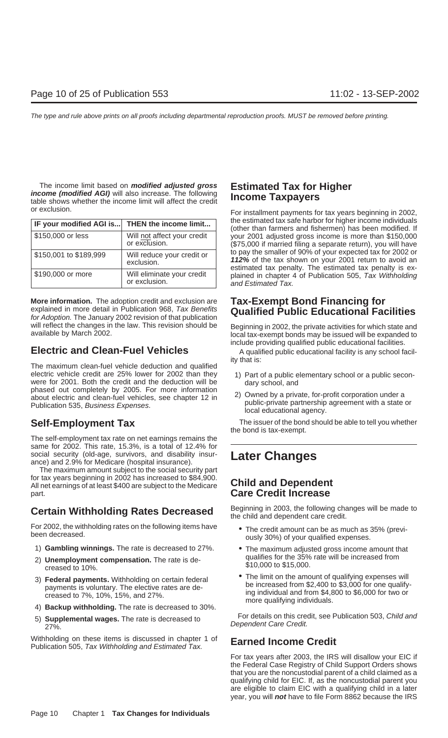The income limit based on **modified adjusted gross** Estimated Tax for Higher *income (modified AGI)* will also increase. The following table shows whether the income limit will affect the credit **Income Taxpayers** 

| IF your modified AGI is | THEN the income limit                        |
|-------------------------|----------------------------------------------|
| \$150,000 or less       | Will not affect your credit<br>or exclusion. |
| \$150,001 to \$189,999  | Will reduce your credit or<br>exclusion.     |
| \$190,000 or more       | Will eliminate your credit<br>or exclusion.  |

More information. The adoption credit and exclusion are Tax-Exempt Bond Financing for<br>explained in more detail in Publication 968, Tax Benefits Qualified Public Educational Facilities<br>for Adoption. The January 2002 revisio

## **Electric and Clean-Fuel Vehicles** A qualified public educational facility is any school facil-

ity that is: The maximum clean-fuel vehicle deduction and qualified electric vehicle credit are 25% lower for 2002 than they 1) Part of a public elementary school or a public seconwere for 2001. Both the credit and the deduction will be dary school, and phased out completely by 2005. For more information<br>about electric and clean-fuel vehicles, see chapter 12 in 2) Owned by a private, for-profit corporation under a<br>Publication 535, Business Expenses.<br>In the state of local

The self-employment tax rate on net earnings remains the same for 2002. This rate, 15.3%, is a total of 12.4% for social security (old-age, survivors, and disability insur- **Later Changes** ance) and 2.9% for Medicare (hospital insurance).

The maximum amount subject to the social security part for tax years beginning in 2002 has increased to \$84,900. All net earnings of at least \$400 are subject to the Medicare **Child and Dependent** part. **Care Credit Increase**

For 2002, the withholding rates on the following items have • The credit amount can be as much as 35% (previ- been decreased. ously 30%) of your qualified expenses.

- 
- 2) **Unemployment compensation.** The rate is decreased to 10%.
- 
- 
- 

Withholding on these items is discussed in chapter 1 of **Earned Income Credit**<br>Publication 505, *Tax Withholding and Estimated Tax.* 

or exclusion. For installment payments for tax years beginning in 2002, the estimated tax safe harbor for higher income individuals (other than farmers and fishermen) has been modified. If your 2001 adjusted gross income is more than \$150,000  $($75,000$  if married filing a separate return), you will have \$150,001 to \$189,999 Will reduce your credit or<br>
struggle of the tax shown on your 2001 return to avoid and<br>
\$190,000 or more<br>
will eliminate your credit<br>
or exclusion.<br>
Will eliminate your credit<br>
or exclusion.<br>
The estim

will reflect the changes in the law. This revision should be Beginning in 2002, the private activities for which state and available by March 2002. include providing qualified public educational facilities.

- 
- 

**Self-Employment Tax** The issuer of the bond should be able to tell you whether the bond is tax-exempt.

**Certain Withholding Rates Decreased** Beginning in 2003, the following changes will be made to the child and dependent care credit.

- 
- 1) **Gambling winnings.** The rate is decreased to 27%.<br>2) **Unemployment compensation** The rate is de-<br>qualifies for the 35% rate will be increased from \$10,000 to \$15,000.
- 3) Federal payments. Withholding on certain federal **COM** The limit on the amount of qualifying expenses will<br>payments is voluntary. The elective rates are de-<br>creased to 7%, 10%, 15%, and 27%.<br>4) **Backup withholding.** The

For details on this credit, see Publication 503, Child and 5) **Supplemental wages.** The rate is decreased to Dependent Care Credit. 27%.

For tax years after 2003, the IRS will disallow your EIC if the Federal Case Registry of Child Support Orders shows that you are the noncustodial parent of a child claimed as a qualifying child for EIC. If, as the noncustodial parent you are eligible to claim EIC with a qualifying child in a later year, you will **not** have to file Form 8862 because the IRS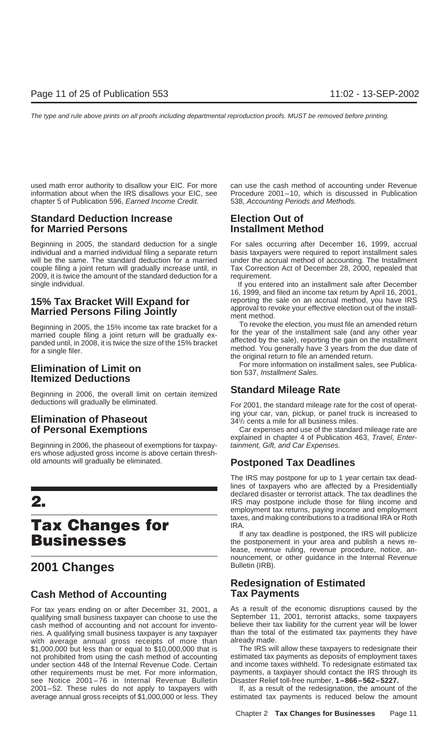used math error authority to disallow your EIC. For more can use the cash method of accounting under Revenue information about when the IRS disallows your EIC, see Procedure 2001–10, which is discussed in Publication chapter 5 of Publication 596, Earned Income Credit. 538, Accounting Periods and Methods.

## **Standard Deduction Increase Election Out of for Married Persons Installment Method**

Beginning in 2005, the standard deduction for a single For sales occurring after December 16, 1999, accrual individual and a married individual filing a separate return basis taxpayers were required to report installment sales will be the same. The standard deduction for a married under the accrual method of accounting. The Installment couple filing a joint return will gradually increase until, in Tax Correction Act of December 28, 2000, repealed that 2009, it is twice the amount of the standard deduction for a requirement.

# **Married Persons Filing Jointly Example 10 approval to revolution of the installation of the installation of the installation of the installation of Married Married.**

married couple filing a joint return will be gradually ex-<br>nanded until in 2008, it is twice the size of the 15% bracket affected by the sale), reporting the gain on the installment

**Standard Mileage Rate** Beginning in 2006, the overall limit on certain itemized<br>deductions will gradually be eliminated.

Beginning in 2006, the phaseout of exemptions for taxpay-<br>tainment, Gift, and Car Expenses. ers whose adjusted gross income is above certain threshold amounts will gradually be eliminated. **Postponed Tax Deadlines**

# taxes, and making contributions to a traditional IRA or Roth **IRA.**<br>If any tax deadline is postponed, the IRS will publicize

## **2001 Changes** Bulletin (IRB).

## **Cash Method of Accounting Tax Payments**

qualifying small business taxpayer can choose to use the September 11, 2001, terrorist attacks, some taxpayers<br>cash method of accounting and not account for invento-<br>believe their tax liability for the current year will be cash method of accounting and not account for invento- believe their tax liability for the current year will be lower ries. A qualifying small business taxpayer is any taxpayer than the total vithe average annual gross receipts of more than already made. with average annual gross receipts of more than already made.<br>\$1,000,000 but less than or equal to \$10,000,000 that is The IRS will allow these taxpayers to redesignate their \$1,000,000 but less than or equal to \$10,000,000 that is The IRS will allow these taxpayers to redesignate their<br>The IRS will allow these taxpayers to redesignate their or problems to redesignate their not prohibited from using the cash method of accounting estimated tax payments as deposits of employment taxes<br>under section 448 of the Internal Revenue Code. Certain and income taxes withheld. To redesignate estimated tax under section 448 of the Internal Revenue Code. Certain and income taxes withheld. To redesignate estimated tax<br>other requirements must be met. For more information, payments, a taxpayer should contact the IRS through its other requirements must be met. For more information, see Notice 2001–76 in Internal Revenue Bulletin Disaster Relief toll-free number, **1–866–562–5227.** 2001–52. These rules do not apply to taxpayers with average annual gross receipts of \$1,000,000 or less. They estimated tax payments is reduced below the amount

single individual. If you entered into an installment sale after December 16, 1999, and filed an income tax return by April 16, 2001, **15% Tax Bracket Will Expand for** reporting the sale on an accrual method, you have IRS<br>**Married Bersene Filipe Jointly** approval to revoke your effective election out of the install-

Beginning in 2005, the 15% income tax rate bracket for a<br>married couple filing a joint return will be gradually ex-<br>for the year of the installment sale (and any other year panded until, in 2008, it is twice the size of the 15% bracket<br>for a single filer.<br>for a single filer.<br>the original return to file an amended return.

For more information on installment sales, see Publica- **Elimination of Limit on** tion 537, Installment Sales. **Itemized Deductions**

For 2001, the standard mileage rate for the cost of operat-**Elimination of Phaseout ing your car, van, pickup, or panel truck is increased to <b>Elimination of Phaseout** 341/<sub>2</sub> cents a mile for all business miles 34<sup>1</sup>/<sub>2</sub> cents a mile for all business miles.

**of Personal Exemptions** Car expenses and use of the standard mileage rate are explained in chapter 4 of Publication 463, Travel, Enter-

The IRS may postpone for up to 1 year certain tax deadlines of taxpayers who are affected by a Presidentially declared disaster or terrorist attack. The tax deadlines the **2.** IRS may postpone include those for filing income and employment tax returns, paying income and employment

If any tax deadline is postponed, the IRS will publicize **Businesses** the postponement in your area and publish a news release, revenue ruling, revenue procedure, notice, announcement, or other guidance in the Internal Revenue

## **Redesignation of Estimated**

For tax years ending on or after December 31, 2001, a As a result of the economic disruptions caused by the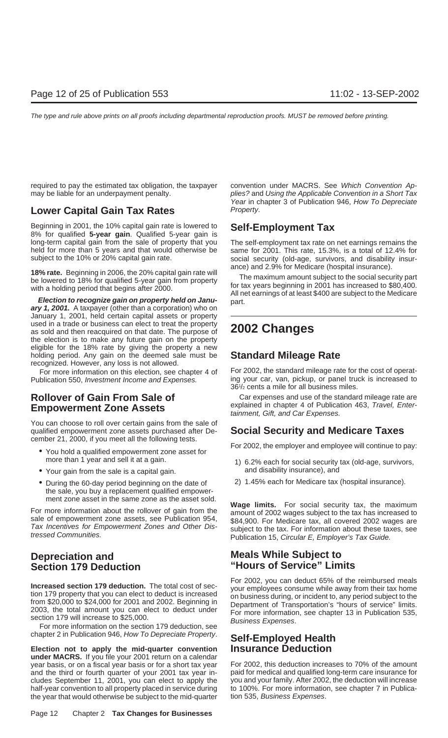## **Lower Capital Gain Tax Rates** Property.

Beginning in 2001, the 10% capital gain rate is lowered to **Self-Employment Tax** 8% for qualified **5-year gain**. Qualified 5-year gain is long-term capital gain from the sale of property that you The self-employment tax rate on net earnings remains the held for more than 5 years and that would otherwise be same for 2001. This rate, 15.3%, is a total of 12.4% for<br>social security (old-age, survivors, and disability insur-

January 1, 2001, held certain capital assets or property used in a trade or business can elect to treat the property as sold and then reacquired on that date. The purpose of **2002 Changes** the election is to make any future gain on the property eligible for the 18% rate by giving the property a new holding period. Any gain on the deemed sale must be **Standard Mileage Rate** recognized. However, any loss is not allowed.

You can choose to roll over certain gains from the sale of qualified empowerment zone assets purchased after De- **Social Security and Medicare Taxes** cember 21, 2000, if you meet all the following tests.

- You hold a qualified empowerment zone asset for<br>more than 1 year and sell it at a gain.<br>1) 6.2% each for social security tax (old-age, survivors,
- Your gain from the sale is a capital gain. The same and disability insurance), and
- During the 60-day period beginning on the date of 2) 1.45% each for Medicare tax (hospital insurance). the sale, you buy a replacement qualified empowerment zone asset in the same zone as the asset sold.

chapter 2 in Publication 946, How To Depreciate Property. **Self-Employed Health**

**Election not to apply the mid-quarter convention Insurance Deduction under MACRS.** If you file your 2001 return on a calendar year basis, or on a fiscal year basis or for a short tax year For 2002, this deduction increases to 70% of the amount<br>and the third or fourth quarter of your 2001 tax year in-paid for medical and qualified long-term care i and the third or fourth quarter of your 2001 tax year includes September 11, 2001, you can elect to apply the you and your family. After 2002, the deduction will increase<br>half-year convention to all property placed in service during to 100%. For more information, see chapter 7 half-year convention to all property placed in service during the year that would otherwise be subject to the mid-quarter tion 535, Business Expenses.

required to pay the estimated tax obligation, the taxpayer convention under MACRS. See Which Convention Apmay be liable for an underpayment penalty. plies? and Using the Applicable Convention in a Short Tax Year in chapter 3 of Publication 946, How To Depreciate

social security (old-age, survivors, and disability insur-

**18% rate.** Beginning in 2006, the 20% capital gain rate will<br>be lowered to 18% for qualified 5-year gain from property<br>with a holding period that begins after 2000.<br>**Election to recognize gain on property held on Janu-**<br>

For more information on this election, see chapter 4 of For 2002, the standard mileage rate for the cost of operat-Publication 550, Investment Income and Expenses. ing your car, van, pickup, or panel truck is increased to 361 /2 cents a mile for all business miles.

**Rollover of Gain From Sale of** Carexpenses and use of the standard mileage rate are **Empowerment Zone Assets** explained in chapter 4 of Publication 463, Travel, Enter-<br>
tainment, Gift, and Car Expenses.

- 1) 6.2% each for social security tax (old-age, survivors,
- 

For more information about the rollover of gain from the<br>sale of empowerment zone assets, see Publication 954,<br>Tax Incentives for Empowerment Zones and Other Dis-<br>tressed Communities.<br>The sale of empowerment Zones and Othe

## **Depreciation and Meals While Subject to Section 179 Deduction "Hours of Service" Limits**

Increased section 179 deduction. The total cost of sec-<br>tion 179 property that you can elect to deduct is increased<br>from \$20,000 to \$24,000 for 2001 and 2002. Beginning in<br>2003, the total amount you can elect to deduct und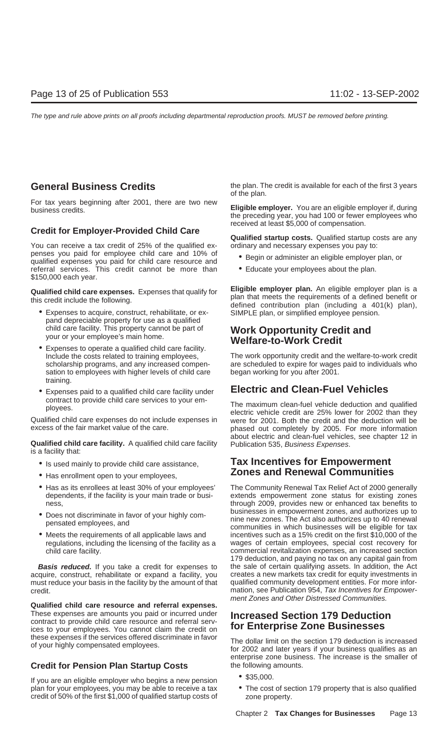For tax years beginning after 2001, there are two new **Eligible employer.** You are an eligible employer if, during business credits.

You can receive a tax credit of 25% of the qualified ex-<br>penses you paid for employee child care and 10% of<br>a Basin ar administer an eligible amples are penses you paid for employee child care and  $\bullet$  Begin or administer an eligible employer plan, or qualified expenses you paid for child care resource and referral services. This credit cannot be more than • Educate your employees about the plan. \$150,000 each year.

- Expenses to acquire, construct, rehabilitate, or ex- SIMPLE plan, or simplified employee pension. pand depreciable property for use as a qualified
- sation to employees with higher levels of child care began working for you after 2001. training.
- Expenses paid to a qualified child care facility under **Electric and Clean-Fuel Vehicles**

Qualified child care expenses do not include expenses in were for 2001. Both the credit and the deduction will be

**Qualified child care facility.** A qualified child care facility Publication 535, Business Expenses. is a facility that:

- 
- 
- 
- 
- 

acquire, construct, rehabilitate or expand a facility, you creates a new markets tax credit for equity investments in must reduce your basis in the facility by the amount of that qualified community development entities. For more inforcredit. mation, see Publication 954, Tax Incentives for Empower-

**Qualified child care resource and referral expenses.** These expenses are amounts you paid or incurred under **Increased Section 179 Deduction**<br>contract to provide child care resource and referral serv-<br>ices to your employees. You cannot claim the credit on **for Enterprise Zone** ices to your employees. You cannot claim the credit on

## **Credit for Pension Plan Startup Costs** the following amounts.

• \$35,000. If you are an eligible employer who begins a new pension plan for your employees, you may be able to receive a tax • The cost of section 179 property that is also qualified credit of 50% of the first \$1,000 of qualified startup costs of zone property.

**General Business Credits** the plan. The credit is available for each of the first 3 years of the plan.

> the preceding year, you had 100 or fewer employees who received at least \$5,000 of compensation.

**Credit for Employer-Provided Child Care**<br>**Qualified startup costs.** Qualified startup costs are any

- 
- 

**Qualified child care expenses.** Expenses that qualify for<br>this credit include the following.<br>defined contribution plan (including a 401(k) plan),<br>defined contribution plan (including a 401(k) plan),

# child care facility. This property cannot be part of **Work Opportunity Credit and** your or your employee's main home.<br>
• Expenses to operate a qualified child care facility.

Include the costs related to training employees, The work opportunity credit and the welfare-to-work credit scholarship programs, and any increased compen- are scheduled to expire for wages paid to individuals who

contract to provide child care services to your em-<br>ployees. electric vehicle credit are 25% lower for 2002 than they phased out completely by 2005. For more information about electric and clean-fuel vehicles, see chapter 12 in

## • Is used mainly to provide child care assistance, **Tax Incentives for Empowerment** • Has enrollment open to your employees, **Zones and Renewal Communities**

• Has as its enrollees at least 30% of your employees' The Community Renewal Tax Relief Act of 2000 generally dependents, if the facility is your main trade or busi- extends empowerment zone status for existing zones extends empowerment zone status for existing zones ness, through 2009, provides new or enhanced tax benefits to • Does not discriminate in favor of your highly com-<br>pensated employees, and<br>communities in which businesses will be eligible for tax • Meets the requirements of all applicable laws and incentives such as a 15% credit on the first \$10,000 of the regulations, including the licensing of the facility as a wages of certain employees, special cost recovery for<br>commercial revitalization expenses, an increased section commercial revitalization expenses, an increased section 179 deduction, and paying no tax on any capital gain from **Basis reduced.** If you take a credit for expenses to the sale of certain qualifying assets. In addition, the Act ment Zones and Other Distressed Communities.

these expenses if the services offered discriminate in favor<br>of your highly compensated employees.<br>for 2002 and later years if your business qualifies as an enterprise zone business. The increase is the smaller of

- 
-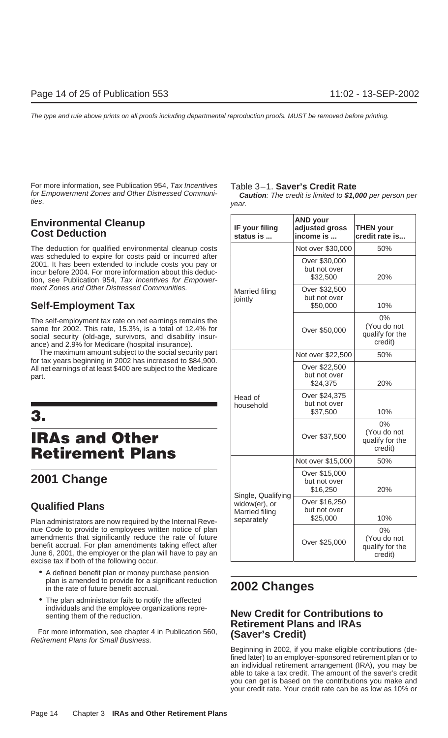For more information, see Publication 954, Tax Incentives Table 3–1. **Saver's Credit Rate**

## **Environmental Cleanup<br>Cost Deduction**

## **Self-Employment Tax**

## **IRAs and Other Retirement Plans**

## **2001 Change**

## **Qualified Plans**

Plan administrators are now required by the Internal Revenue Code to provide to employees written notice of plan amendments that significantly reduce the rate of future benefit accrual. For plan amendments taking effect after<br>June 6, 2001, the employer or the plan will have to pay an<br>excise tax if both of the following occur.

- A defined benefit plan or money purchase pension plan is amended to provide for a significant reduction in the rate of future benefit accrual. **2002 Changes**
- The plan administrator fails to notify the affected individuals and the employee organizations representing them of the reduction. **New Credit for Contributions to**

For more information, see chapter 4 in Publication 560, **(Saver's Credit)** Retirement Plans for Small Business.

for Empowerment Zones and Other Distressed Communi- **Caution**: The credit is limited to **\$1,000** per person per ties. year.

| <b>Environmental Cleanup</b><br><b>Cost Deduction</b>                                                                                                                                                                                                                                                                                                    | IF your filing<br>status is                   | <b>AND your</b><br>adjusted gross<br>income is | <b>THEN your</b><br>credit rate is              |
|----------------------------------------------------------------------------------------------------------------------------------------------------------------------------------------------------------------------------------------------------------------------------------------------------------------------------------------------------------|-----------------------------------------------|------------------------------------------------|-------------------------------------------------|
| The deduction for qualified environmental cleanup costs                                                                                                                                                                                                                                                                                                  |                                               | Not over \$30,000                              | 50%                                             |
| was scheduled to expire for costs paid or incurred after<br>2001. It has been extended to include costs you pay or<br>incur before 2004. For more information about this deduc-<br>tion, see Publication 954, Tax Incentives for Empower-                                                                                                                |                                               | Over \$30,000<br>but not over<br>\$32,500      | 20%                                             |
| ment Zones and Other Distressed Communities.                                                                                                                                                                                                                                                                                                             | Married filing                                | Over \$32,500<br>but not over                  |                                                 |
| <b>Self-Employment Tax</b>                                                                                                                                                                                                                                                                                                                               | jointly                                       | \$50,000                                       | 10%                                             |
| The self-employment tax rate on net earnings remains the<br>same for 2002. This rate, 15.3%, is a total of 12.4% for<br>social security (old-age, survivors, and disability insur-<br>ance) and 2.9% for Medicare (hospital insurance).                                                                                                                  |                                               | Over \$50,000                                  | 0%<br>(You do not<br>qualify for the<br>credit) |
| The maximum amount subject to the social security part<br>for tax years beginning in 2002 has increased to \$84,900.                                                                                                                                                                                                                                     |                                               | Not over \$22,500                              | 50%                                             |
| All net earnings of at least \$400 are subject to the Medicare<br>part.                                                                                                                                                                                                                                                                                  |                                               | Over \$22,500<br>but not over<br>\$24,375      | 20%                                             |
| 3.                                                                                                                                                                                                                                                                                                                                                       | Head of<br>household                          | Over \$24,375<br>but not over<br>\$37,500      | 10%                                             |
| <b>IRAs and Other</b><br><b>Retirement Plans</b>                                                                                                                                                                                                                                                                                                         |                                               | Over \$37,500                                  | 0%<br>(You do not<br>qualify for the<br>credit) |
|                                                                                                                                                                                                                                                                                                                                                          |                                               | Not over \$15,000                              | 50%                                             |
| 2001 Change                                                                                                                                                                                                                                                                                                                                              | Single, Qualifying                            | Over \$15,000<br>but not over<br>\$16,250      | 20%                                             |
| <b>Qualified Plans</b>                                                                                                                                                                                                                                                                                                                                   | widow(er), or<br>Married filing<br>separately | Over \$16,250<br>but not over<br>\$25,000      | 10%                                             |
| Plan administrators are now required by the Internal Reve-<br>nue Code to provide to employees written notice of plan<br>amendments that significantly reduce the rate of future<br>benefit accrual. For plan amendments taking effect after<br>June 6, 2001, the employer or the plan will have to pay an<br>excise tax if both of the following occur. |                                               | Over \$25,000                                  | 0%<br>(You do not<br>qualify for the<br>credit) |

# **Retirement Plans and IRAs**

Beginning in 2002, if you make eligible contributions (defined later) to an employer-sponsored retirement plan or to an individual retirement arrangement (IRA), you may be able to take a tax credit. The amount of the saver's credit you can get is based on the contributions you make and your credit rate. Your credit rate can be as low as 10% or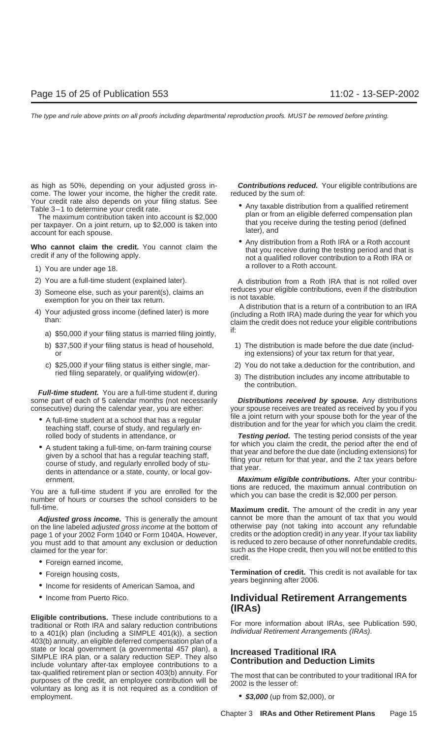as high as 50%, depending on your adjusted gross in- **Contributions reduced.** Your eligible contributions are come. The lower your income, the higher the credit rate. reduced by the sum of:

- 
- 
- 
- - a)  $$50,000$  if your filing status is married filing jointly,  $15$
	-
	-

**Full-time student.** You are a full-time student if, during some part of each of 5 calendar months (not necessarily **Distributions received by spouse.** Any distributions

- 
- 

You are a full-time student if you are enrolled for the which you can base the credit is \$2,000 per person. full-time. **Maximum credit.** The amount of the credit in any year

on the line labeled *adjusted gross income* at the bottom of otherwise pay (not taking into account any refundable page 1 of your 2002 Form 1040 or Form 1040A. However, credits or the adoption credit) in any year. If your tax liability<br>vou must add to that amount any exclusion or deduction is reduced to zero because of other nonrefunda you must add to that amount any exclusion or deduction

- Foreign earned income,
- 
- Income for residents of American Samoa, and
- 

**Eligible contributions.** These include contributions to a traditional or Roth IRA and salary reduction contributions For more information about IRAs, see Publication 590,<br>to a 401(k) plan (including a SIMPLE 401(k)), a section Individual Retirement Arrangements (IRAs). 403(b) annuity, an eligible deferred compensation plan of a state or local government (a governmental 457 plan), a<br>SIMPLE IRA plan, or a salary reduction SEP. They also<br>include voluntary after-tax employee contributions to a<br>tax-qualified retirement plan or section 403(b) annuity. tax-qualitied retirement plan or section 403(b) annuity. For<br>purposes of the credit, an employee contribution will be<br>voluntary as long as it is not required as a condition of employment. **• 12,000** (up from \$2,000), or

- Your credit rate also depends on your filing status. See<br>
Table 3-1 to determine your credit rate.<br>
The maximum contribution taken into account is \$2,000<br>
per taxpayer. On a joint return, up to \$2,000 is taken into<br>
accou
- **Who cannot claim the credit.** You cannot claim the **annot claim the credit.** You cannot claim the **annot** that you receive during the testing period and that is credit if any of the following apply.<br>The mot a qualified ro a rollover to a Roth account. 1) You are under age 18.

2) You are a full-time student (explained later). A distribution from a Roth IRA that is not rolled over 3) Someone else, such as your parent(s), claims an educes your eligible contributions, even if the distribution<br>exemption for you on their tax return.<br>4) Your adjusted gross income (defined later) is more<br>timely distributi

Your adjusted gross income (defined later) is more (including a Roth IRA) made during the year for which you than:<br>claim the credit does not reduce your eligible contributions

- b) \$37,500 if your filing status is head of household, 1) The distribution is made before the due date (including extensions) of your tax return for that year,
- c) \$25,000 if your filing status is either single, mar- 2) You do not take a deduction for the contribution, and
	- ried filing separately, or qualifying widow(er). 3) The distribution includes any income attributable to the contribution.

consecutive) during the calendar year, you are either: your spouse receives are treated as received by you if you • A full-time student at a school that has a regular<br>teaching staff, course of study, and regularly en-<br>teaching staff, course of study, and regularly en-<br>teaching staff, course of study, and regularly en-

rolled body of students in attendance, or **Testing period.** The testing period consists of the year • A student taking a full-time, on-farm training course for which you claim the credit, the period after the end of that year and before the due date (including extensions) for that year and before the due date (including

ernment. **Maximum eligible contributions.** After your contribu-

**Adjusted gross income.** This is generally the amount cannot be more than the amount of tax that you would claimed for the year for: such as the Hope credit, then you will not be entitled to this<br>credit.

• Foreign housing costs, **Termination of credit.** This credit is not available for tax vears beginning after 2006.

## • Income from Puerto Rico. **Individual Retirement Arrangements (IRAs)**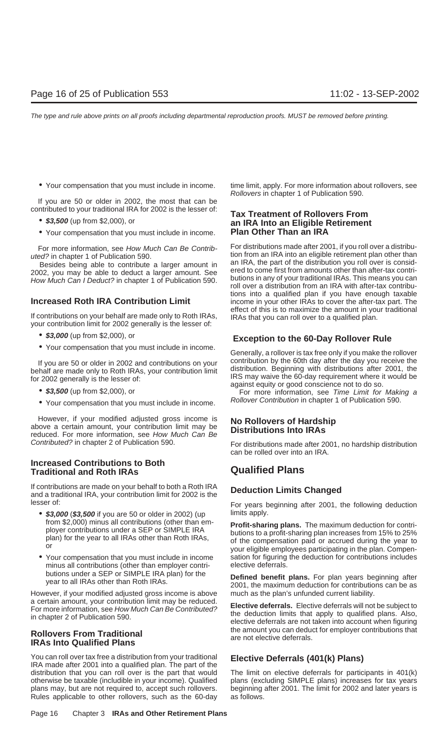If you are 50 or older in 2002, the most that can be

- 
- Your compensation that you must include in income. **Plan Other Than an IRA**

effect of this is to maximize the amount in your traditional<br>If contributions on your behalf are made only to Roth IRAs, IRAs that you can roll over to a qualified plan.<br>your contribution limit for 2002 generally is the le

- 
- 

- 
- Your compensation that you must include in income. Follover Contribution in chapter 1 of Publication 590.

However, if your modified adjusted gross income is **No Rollovers of Hardship** above a certain amount, your contribution limit may be reduced. For more information, see How Much Can Be

## **Increased Contributions to Both Traditional and Roth IRAs Qualified Plans**

If contributions are made on your behalf to both a Roth IRA **Deduction Limits Changed** and a traditional IRA, your contribution limit for 2002 is the lesser of: **For years beginning after 2001**, the following deduction

- \$3,000 (\$3,500 if you are 50 or older in 2002) (up limits apply.<br>from \$2,000) minus all contributions (other than em-
- minus all contributions (other than employer contri-

However, if your modified adjusted gross income is above much as the plan's unfunded current liability. a certain amount, your contribution limit may be reduced.<br>For more information, see How Much Can Be Contributed?<br>In chapter 2 of Publication 590.<br>Subsettive deferrals are not taken into account when figuring

You can roll over tax free a distribution from your traditional **Elective Deferrals (401(k) Plans)** IRA made after 2001 into a qualified plan. The part of the distribution that you can roll over is the part that would The limit on elective deferrals for participants in 401(k) otherwise be taxable (includible in your income). Qualified plans (excluding SIMPLE plans) increases for tax years plans may, but are not required to, accept such rollovers. beginning after 2001. The limit for 2002 and lat Rules applicable to other rollovers, such as the 60-day as follows.

• Your compensation that you must include in income. time limit, apply. For more information about rollovers, see Rollovers in chapter 1 of Publication 590.

# contributed to your traditional IRA for 2002 is the lesser of: **Tax Treatment of Rollovers From** • **\$3,500** (up from \$2,000), or **an IRA Into an Eligible Retirement**

For more information, see How Much Can Be Contrib-<br>For distributions made after 2001, if you roll over a distribution tion from an IRA into an eligible retirement plan other than uted? in chapter 1 of Publication 590. Besides being able to contribute a larger amount in an IRA, the part of the distribution you roll over is consid-<br>02. You may be able to deduct a larger amount. See ered to come first from amounts other than after-tax cont 2002, you may be able to deduct a larger amount. See ered to come first from amounts other than after-tax contri-<br>How Much Can I Deduct2 in chapter 1 of Publication 590 butions in any of your traditional IRAs. This means y How Much Can I Deduct? in chapter 1 of Publication 590. Dutions in any of your traditional IRAs. This means you can<br>Foll over a distribution from an IRA with after-tax contributions into a qualified plan if you have enough taxable **Increased Roth IRA Contribution Limit** income in your other IRAs to cover the after-tax part. The

## • **\$3,000** (up from \$2,000), or **Exception to the 60-Day Rollover Rule**

• Your compensation that you must include in income. Generally, a rollover is tax free only if you make the rollover If you are 50 or older in 2002 and contributions on your<br>
behalf are made only to Roth IRAs, your contribution limit<br>
for 2002 generally is the lesser of:<br> **EXECUS CONS** EXECUS MANUS MANUS MANUS MANUS MANUS MANUS MANUS MAN

Contributed? in chapter 2 of Publication 590. For distributions made after 2001, no hardship distribution can be rolled over into an IRA.

From \$2,000) minus all contributions (other than em-<br>ployer contributions under a SEP or SIMPLE IRA<br>plan) for the year to all IRAs other than Roth IRAs,<br>or the year to all IRAs other than Roth IRAs,<br>or wour eligible employ • Your compensation that you must include in income sation for figuring the deduction for contributions includes minus all contributions (other than employer contri-<br>
elective deferrals.

butions under a SEP or SIMPLE IRA plan) for the **Defined benefit plans.** For plan years beginning after year to all IRAs other than Roth IRAs. 2001, the maximum deduction for contributions can be as

the amount you can deduct for employer contributions that **Rollovers From Traditional** are not elective deferrals. **IRAs Into Qualified Plans**

beginning after 2001. The limit for 2002 and later years is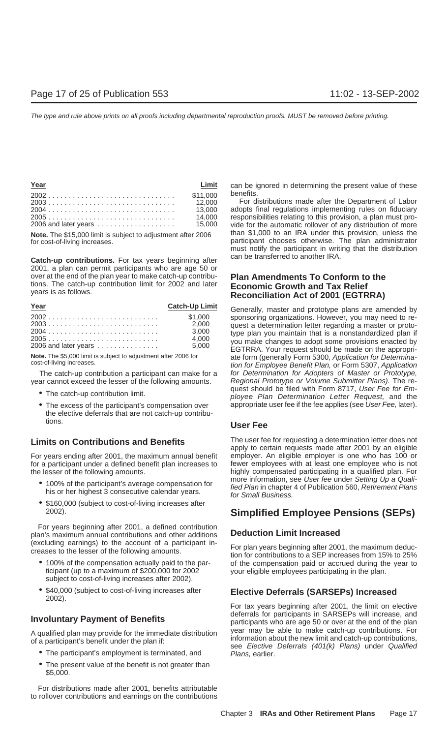| Year |          | Limit can be i |
|------|----------|----------------|
|      | \$11.000 | benefits.      |
|      |          | For di         |
|      |          | adopts f       |
|      | 14.000   | responsi       |
|      |          |                |

**Catch-up contributions.** For tax years beginning after can be transferred to another IRA. 2001, a plan can permit participants who are age 50 or over at the end of the plan year to make catch-up contribu- **Plan Amendments To Conform to the** tions. The catch-up contribution limit for 2002 and later **Economic Growth and Tax Relief** years is as follows. **Reconciliation Act of 2001 (EGTRRA)**

| Year                 | <b>Catch-Up Limit</b> |
|----------------------|-----------------------|
|                      | \$1,000               |
|                      | 2.000                 |
|                      | 3.000                 |
|                      | 4.000                 |
| 2006 and later years | 5,000                 |

year cannot exceed the lesser of the following amounts. Regional Prototype or Volume Submitter Plans). The re-

- 
- the elective deferrals that are not catch-up contributions. **User Fee**

For years ending after 2001, the maximum annual benefit employer. An eligible employer is one who has 100 or<br>for a participant under a defined benefit plan increases to fewer employees with at least one employee who is not for a participant under a defined benefit plan increases to

- 
- \$160,000 (subject to cost-of-living increases after

For years beginning after 2001, a defined contribution plan's maximum annual contributions and other additions **Deduction Limit Increased**

- ticipant (up to a maximum of \$200,000 for 2002 your eligible employees participating in the plan. subject to cost-of-living increases after 2002).
- \$40,000 (subject to cost-of-living increases after **Elective Deferrals (SARSEPs) Increased** 2002).

- 
- The present value of the benefit is not greater than \$5,000.

For distributions made after 2001, benefits attributable to rollover contributions and earnings on the contributions can be ignored in determining the present value of these

For distributions made after the Department of Labor adopts final regulations implementing rules on fiduciary responsibilities relating to this provision, a plan must provide for the automatic rollover of any distribution of more **Note.** The \$15,000 limit is subject to adjustment after 2006 than \$1,000 to an IRA under this provision, unless the for cost-of-living increases. participant chooses otherwise. The plan administrator must notify the participant in writing that the distribution

Generally, master and prototype plans are amended by 2002<br>
2003<br>
2003<br>
2003<br>
2004<br>
2005<br>
2005<br>
2005<br>
2006 and later years<br>
2006 and later years<br>
2006 and later years<br>
2006 and later years<br>
2006 and later years<br>
2006 5,000<br>
2007<br>
2007<br>
2007<br>
2007<br>
2007<br>
2007<br>
2007<br>
2007<br>
2007 Note. The \$5,000 limit is subject to adjustment after 2006 for ate form (generally Form 5300, Application for Determina-<br>cost-of-living increases. tion for Employee Benefit Plan, or Form 5307, Application The catch-up contribution a participant can make for a for Determination for Adopters of Master or Prototype, • The catch-up contribution limit.<br>
ployee Plan Determination Letter Request, and the • The excess of the participant's compensation over appropriate user fee if the fee applies (see User Fee, later).

**Limits on Contributions and Benefits** The user fee for requesting a determination letter does not apply to certain requests made after 2001 by an eligible the lesser of the following amounts.<br>A 400% of the nextial participantle average compensation for more information, see User fee under Setting Up a Quali-• 100% of the participant's average compensation for<br>his or her highest 3 consecutive calendar years.<br>for Small Business.<br>for Small Business.

## **Simplified Employee Pensions (SEPs)**

(excluding earnings) to the account of a participant in- For plan years beginning after 2001, the maximum deduc- creases to the lesser of the following amounts. tion for contributions to a SEP increases from 15% to 25% • 100% of the compensation actually paid to the par- of the compensation paid or accrued during the year to

For tax years beginning after 2001, the limit on elective **Involuntary Payment of Benefits** deferrals for participants in SARSEPs will increase, and participants who are age 50 or over at the end of the plan A qualified plan may provide for the immediate distribution<br>of a participant's benefit under the plan if:<br>
• The participant's employment is terminated, and<br>
• The participant's employment is terminated, and<br>
• The partic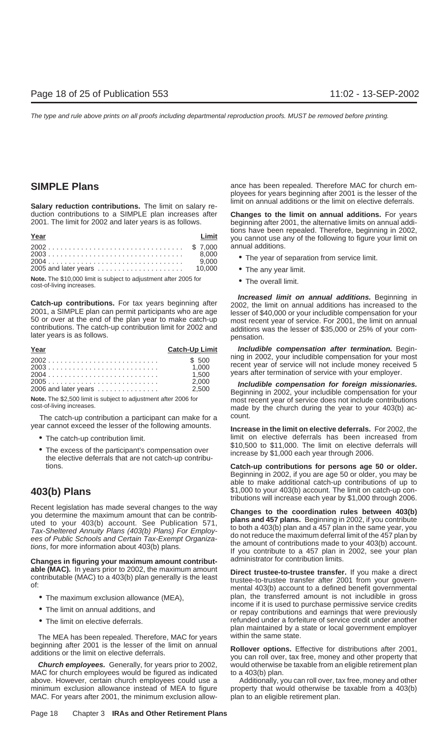duction contributions to a SIMPLE plan increases after **Changes to the limit on annual additions.** For years 2001. The limit for 2002 and later years is as follows.

| Year | Limit |
|------|-------|
|      |       |
|      |       |
|      |       |
|      |       |

**Note.** The \$10,000 limit is subject to adjustment after 2005 for • The overall limit. cost-of-living increases.

| Year                                                | <b>Catch-Up Limit</b> |
|-----------------------------------------------------|-----------------------|
| $2002$ \$ 500                                       |                       |
|                                                     | 1.000                 |
|                                                     | 1.500                 |
|                                                     | 2.000                 |
| 2006 and later vears $\ldots$ , $\ldots$ , $\ldots$ | 2.500                 |

The catch-up contribution a participant can make for a count. year cannot exceed the lesser of the following amounts. **Increase in the limit on elective deferrals.** For 2002, the

- 
- The excess of the participant's compensation over increase by \$1,000 each year through 2006.<br>the elective deferrals that are not catch-up contribu-

**Changes in figuring your maximum amount contribut-** administrator for contribution limits. able (MAC). In years prior to 2002, the maximum amount<br>contributable (MAC) to a 403(b) plan generally is the least<br>of:<br>mental 403(b) account to a defined benefit governmental

- 
- 
- 

The MEA has been repealed. Therefore, MAC for years within the same state.

MAC for church employees would be figured as indicated to a  $403(b)$  plan. above. However, certain church employees could use a Additionally, you can roll over, tax free, money and other minimum exclusion allowance instead of MEA to figure property that would otherwise be taxable from a 403(b) MAC. For years after 2001, the minimum exclusion allow- plan to an eligible retirement plan.

**SIMPLE Plans ance has been repealed. Therefore MAC for church em**ployees for years beginning after 2001 is the lesser of the limit on annual additions or the limit on elective deferrals. **Salary reduction contributions.** The limit on salary re-

> beginning after 2001, the alternative limits on annual additions have been repealed. Therefore, beginning in 2002, you cannot use any of the following to figure your limit on annual additions.

- The year of separation from service limit.
- The any year limit.
- 

**Catch-up contributions.** For tax years beginning after<br>2001, a SIMPLE plan can permit participants who are age<br>50 or over at the end of the plan year to make catch-up<br>contributions. The catch-up contribution limit for 200

**Includible compensation after termination.** Beginning in 2002, your includible compensation for your most<br>recent year of service will not include money received 5<br>years after termination of service with your employer.

<sup>2005</sup> ........................... 2,000 **Includible compensation for foreign missionaries.** 2006 and later years ............... 2,500 Beginning in 2002, your includible compensation for your **Note.** The \$2,500 limit is subject to adjustment after 2006 for most recent year of service does not include contributions cost-of-living increases. Most of the church during the year to your 403(b) ac-

• The catch-up contribution limit. limit on elective deferrals has been increased from<br>\$10,500 to \$11,000. The limit on elective deferrals will

tions. **Catch-up contributions for persons age 50 or older.** Beginning in 2002, if you are age 50 or older, you may be able to make additional catch-up contributions of up to **403(b) Plans** \$1,000 to your 403(b) account. The limit on catch-up contributions will increase each year by \$1,000 through 2006.

Recent legislation has made several changes to the way<br>you determine the maximum amount that can be contributed<br>to your 403(b) account. See Publication 571,<br>Tax-Sheltered Annuity Plans (403(b) Plans) For Employ-<br>to both a

• The maximum exclusion allowance (MEA),  $p$  plan, the transferred amount is not includible in gross income if it is used to purchase permissive service credits • The limit on annual additions, and or repay contributions and earnings that were previously • The limit on elective deferrals. The imaginary refunded under a forfeiture of service credit under another plan maintained by a state or local government employer

beginning after 2001 is the lesser of the limit on annual<br>additions or the limit on elective deferrals.<br>you can roll over, tax free, money and other property that **Church employees.** Generally, for years prior to 2002, would otherwise be taxable from an eligible retirement plan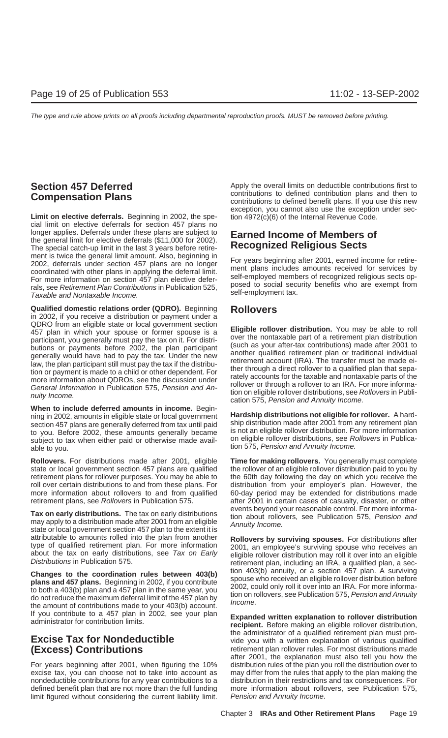Limit on elective deferrals. Beginning in 2002, the spe-<br>tion 4972(c)(6) of the Internal Revenue Code. cial limit on elective deferrals for section 457 plans no longer applies. Deferrals under these plans are subject to **Earned Income of Members of** the general limit for elective deferrals (\$11,000 for 2002). The special catch-up limit in the last 3 years before retirement is twice the general limit amount. Also, beginning in<br>
2002, deferrals under section 457 plans are no longer<br>
For years beginning after 2001, earned income for retire-<br>
coordinated with other plans in applying the def

**Qualified domestic relations order (QDRO).** Beginning **Rollovers** in 2002, if you receive a distribution or payment under a QDRO from an eligible state or local government section<br>457 plan in which your spouse or former spouse is a<br>participant, you generally must pay the tax on it. For distri-<br>participant of a retirement plan distribution<br>parti

**When to include deferred amounts in income.** Beginning in 2002, amounts in eligible state or local government **Hardship distributions not eligible for rollover.** A hardsection 457 plans are generally deferred from tax until paid ship distribution made after 2001 from any retirement plan<br>to you. Before 2002, these amounts generally became is not an eligible rollover distribution. For more to you. Before 2002, these amounts generally became subject to tax when either paid or otherwise made avail-<br>on eligible rollover distributions, see Rollovers in Publicaable to you. **the same of the set of the set of the set of the set of the set of the set of the set of the set of the set of the set of the set of the set of the set of the set of the set of the set of the set of the set o** 

**Rollovers.** For distributions made after 2001, eligible **Time for making rollovers.** You generally must complete state or local government section 457 plans are qualified the rollover of an eligible rollover distribution paid to you by retirement plans for rollover purposes. You may be able to the 60th day following the day on which you receive the roll over certain distributions to and from these plans. For distribution from your employer's plan. However, the more information about rollovers to and from qualified 60-day period may be extended for distributions made retirement plans, see Rollovers in Publication 575. after 2001 in certain cases of casualty, disaster, or other

Tax on early distributions. The tax on early distributions<br>may apply to a distribution made after 2001 from an eligible<br>state or local government section 457 plan to the extent it is<br>state or local government section 457 p attributable to amounts rolled into the plan from another **Rollovers by surviving spouses.** For distributions after

**Changes to the coordination rules between 403(b)**  $\mu$  tion 403(b) annuity, or a section 457 plan. A surviving spans and 457 plans. Beginning in 2002, if you contribute<br>to both a 403(b) plan and a 457 plan in the same ye If you contribute to a 457 plan in 2002, see your plan **Expanded written explanation to rollover distribution** administrator for contribution limits. **recipient.** Before making an eligible rollover distribution,

For years beginning after 2001, when figuring the 10% distribution rules of the plan you roll the distribution over to excise tax, you can choose not to take into account as may differ from the rules that apply to the plan making the nondeductible contributions for any year contributions to a distribution in their restrictions and tax cons nondeductible contributions for any year contributions to a distribution in their restrictions and tax consequences. For defined benefit plan that are not more than the full funding limit figured without considering the current liability limit. Pension and Annuity Income.

**Section 457 Deferred** Apply the overall limits on deductible contributions first to<br> **Componention Plane** Contributions to defined contribution plans and then to contributions to defined contribution plans and then to **Compensation Plans** contributions to defined benefit plans. If you use this new exception, you cannot also use the exception under sec-

type or qualified retirement plan. For more information 2001, an employee's surviving spouse who receives an about the tax on early distributions, see Tax on Early eligible rollover distribution may roll it over into an el

the administrator of a qualified retirement plan must pro- **Excise Tax for Nondeductible** vide you with a written explanation of various qualified **(Excess) Contributions** retirement plan rollover rules. For most distributions made after 2001, the explanation must also tell you how the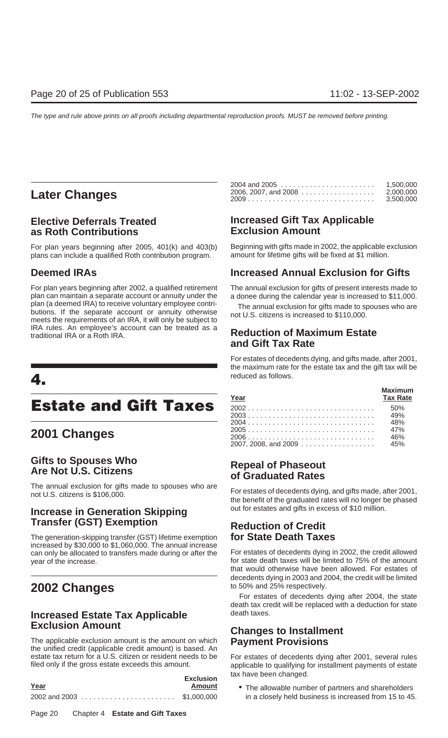## **Later Changes**

# **as Roth Contributions**

plans can include a qualified Roth contribution program.

For plan years beginning after 2002, a qualified retirement The annual exclusion for gifts of present interests made to plan can maintain a separate account or annuity under the a donee during the calendar year is increased to \$11,000.<br>plan (a deemed IRA) to receive voluntary employee contriplan (a deemed IRA) to receive voluntary employee contri-<br>butions. If the separate account or annuity otherwise<br>meets the requirements of an IRA, it will only be subject to<br>meets the requirements of an IRA, it will only be IRA rules. An employee's account can be treated as a traditional IRA or a Roth IRA. **Reduction of Maximum Estate**

## **Estate and Gift Taxes**

## **2001 Changes**

# **Gifts to Spouses Who Repeal of Phaseout Are Not U.S. Citizens of Graduated Rates**

The annual exclusion for gifts made to spouses who are<br>not U.S. citizens is \$106,000. The perefit of the graduated rates will no longer be phased

## **Increase in Generation Skipping** out for estates and gifts in excess of \$10 million. **Transfer (GST) Exemption Reduction of Credit**

The generation-skipping transfer (GST) lifetime exemption **for State Death Taxes** increased by \$30,000 to \$1,060,000. The annual increase can only be allocated to transfers made during or after the For estates of decedents dying in 2002, the credit allowed year of the increase. The increase is the interest of the amount of the amount

# **Increased Estate Tax Applicable** death taxes.<br> **Exclusion Amount**

The applicable exclusion amount is the amount on which **Payment Provisions** the unified credit (applicable credit amount) is based. An filed only if the gross estate exceeds this amount. applicable to qualifying for installment payments of estate

| Year | <b>Exclusion</b><br>Amount |
|------|----------------------------|
|      |                            |

|                                          | 1,500,000 |
|------------------------------------------|-----------|
| 2006. 2007. and 2008 ................... | 2.000.000 |
|                                          | 3.500.000 |

# **Elective Deferrals Treated Increased Gift Tax Applicable**

For plan years beginning after 2005, 401(k) and 403(b) Beginning with gifts made in 2002, the applicable exclusion plans can include a qualified Roth contribution program. All amount for lifetime gifts will be fixed at \$1

## **Deemed IRAs Increased Annual Exclusion for Gifts**

# **and Gift Tax Rate**

For estates of decedents dying, and gifts made, after 2001, the maximum rate for the estate tax and the gift tax will be reduced as follows. **4.**

| Year     | <b>Maximum</b><br><b>Tax Rate</b> |
|----------|-----------------------------------|
| 2002 50% |                                   |
|          |                                   |
|          |                                   |
| 2005 47% |                                   |
|          |                                   |
|          |                                   |

that would otherwise have been allowed. For estates of decedents dying in 2003 and 2004, the credit will be limited

**2002 Changes 2002** Changes **10** to 50% and 25% respectively.<br>For estates of decedents dying after 2004, the state death tax credit will be replaced with a deduction for state

# **Changes to Installment**

For estates of decedents dying after 2001, several rules tax have been changed.

• The allowable number of partners and shareholders in a closely held business is increased from 15 to 45.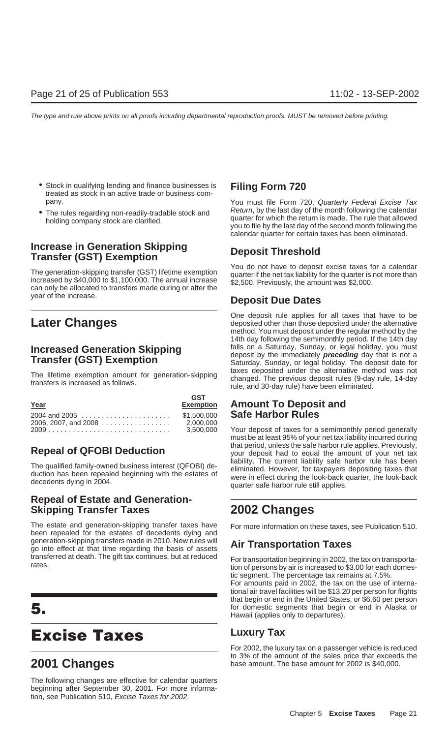- Stock in qualifying lending and finance businesses is **Filing Form 720** treated as stock in an active trade or business company. The pany of the Taxan and Taxan and Taxan and Taxan and Taxan and Taxan and Taxan and Taxan and Taxan and Taxan and Taxan and Taxan and Taxan and Taxan and Taxan and Taxan and Taxan and Taxan and Taxan and Taxan and
- 

# **Increase in Generation Skipping better as a Deposit Threshold**<br>Transfer (GST) Exemption

year of the increase. **Deposit Due Dates**

| Year                                                                                       | <b>GST</b><br><b>Exemption</b> |
|--------------------------------------------------------------------------------------------|--------------------------------|
| $2004$ and $2005$ \$1.500.000<br>2006, 2007, and 2008 $\ldots \ldots \ldots \ldots \ldots$ | 2.000.000<br>3.500.000         |

## **Repeal of Estate and Generation-Skipping Transfer Taxes 2002 Changes**

The estate and generation-skipping transfer taxes have For more information on these taxes, see Publication 510. been repealed for the estates of decedents dying and generation-skipping transfers made in 2010. New rules will **Air Transportation Taxes** go into effect at that time regarding the basis of assets transferred at death. The gift tax continues, but at reduced<br>For transportation beginning in 2002, the tax on transporta-<br>tion of persons by air is increased to \$3.00 for each domes-

## **Excise Taxes Luxury Tax**

The following changes are effective for calendar quarters beginning after September 30, 2001. For more information, see Publication 510, Excise Taxes for 2002.

• The rules regarding non-readily-tradable stock and<br>holding company stock are clarified.<br>you to file by the last day of the second month following the<br>you to file by the last day of the second month following the calendar quarter for certain taxes has been eliminated.

The generation-skipping transfer (GST) lifetime exemption<br>increased by \$40,000 to \$1,100,000. The annual increase<br>can only be allocated to transfers made during or after the<br>can only be allocated to transfers made during o

**Later Changes Later Changes Deposit rule applies for all taxes that have to be deposited other than those deposited under the alternative** method. You must deposit under the regular method by the 14th day following the semimonthly period. If the 14th day **Increased Generation Skipping** falls on a Saturday, Sunday, or legal holiday, you must<br> **Transfer (GST) Exemption**<br>
Saturday, Sunday, or legal holiday. The deposit date for The lifetime exemption amount for generation-skipping<br>transfers is increased as follows.<br>transfers is increased as follows.<br>rule, and 30-day rule) have been eliminated.

## **Amount To Deposit and Safe Harbor Rules**

Your deposit of taxes for a semimonthly period generally must be at least 95% of your net tax liability incurred during **Repeal of QFOBI Deduction** that period, unless the safe harbor rule applies. Previously,<br>your deposit had to equal the amount of your net tax The qualified family-owned business interest (QFOBI) de-<br>duction has been repealed beginning with the estates of<br>decedents dying in 2004.<br>decedents dying in 2004.

tic segment. The percentage tax remains at 7.5%.

For amounts paid in 2002, the tax on the use of international air travel facilities will be \$13.20 per person for flights that begin or end in the United States, or \$6.60 per person **5.** for domestic segments that begin or end in Alaska or Hawaii (applies only to departures).

For 2002, the luxury tax on a passenger vehicle is reduced to 3% of the amount of the sales price that exceeds the **2001 Changes** base amount. The base amount for 2002 is \$40,000.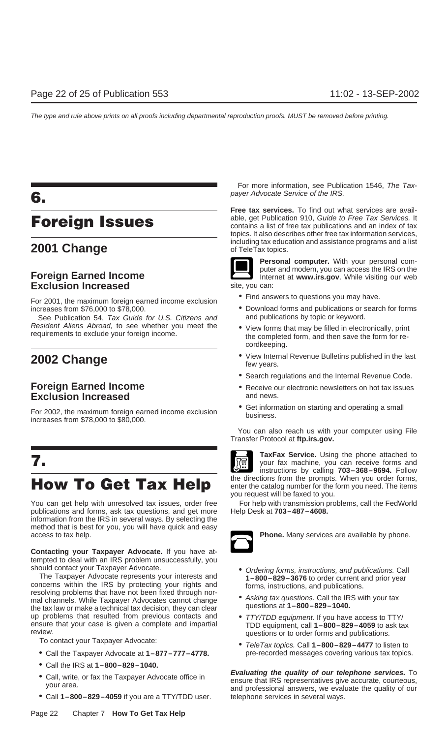# **Exclusion Increased** site, you can:

• Find answers to questions you may have. For 2001, the maximum foreign earned income exclusion increases from \$76,000 to \$78,000. • Download forms and publications or search for forms

See Publication 54, Tax Guide for U.S. Citizens and and publications by topic or keyword. Resident Aliens Abroad, to see whether you meet the view forms that may be filled in electronically, print requirements to exclude your foreign income.

## **Exclusion Increased**

For 2002, the maximum foreign earned income exclusion <br>increases from \$78,000 to \$80,000.<br>For eases from \$78,000 to \$80,000.

publications and forms, ask tax questions, and get more Help Desk at **703–487–4608.** information from the IRS in several ways. By selecting the method that is best for you, you will have quick and easy access to tax help. **Phone.** Many services are available by phone.

**Contacting your Taxpayer Advocate.** If you have attempted to deal with an IRS problem unsuccessfully, you

The Taxpayer Advocate represents your interests and<br>
concerns within the IRS by protecting your rights and<br>
resolving problems that have not been fixed through nor-<br>
mal channels While Taxpayer Advocates cannot change<br>
Mil mal channels. While Taxpayer Advocates cannot change • Asking tax questions. Call the IRS<br>the tax law or make a technical tax decision, they can clear equestions at 1–800–829–1040. the tax law or make a technical tax decision, they can clear up problems that resulted from previous contacts and  $\bullet$  *TTY/TDD equipment.* If you have access to TTY/ ensure that your case is given a complete and impartial TDD equipment, call **1–800–829–4059** to ask tax review.

- Call the Taxpayer Advocate at  $1-877-777-4778$ .
- Call the IRS at **1–800–829–1040.**
- 
- Call **1–800–829–4059** if you are a TTY/TDD user. telephone services in several ways.

For more information, see Publication 1546, The Taxpayer Advocate Service of the IRS. **6.**

**Free tax services.** To find out what services are available, get Publication 910, Guide to Free Tax Services. It **Foreign Issues** able, get Publication 910, Guide to Free Tax Services. It contains a list of free tax publications and an index of tax topics. It also describes other free tax information services, **2001 Change** *Change Change Change Change Change Change Change Change Change Change Change Change Change Change Change Change Change Change Change* 



**Personal computer.** With your personal com-**Foreign Earned Income Integral Income Internet at www.irs.gov**. While visiting our web

- 
- 
- cordkeeping.
- **2002 Change 1989 Change 1989 Change 1989 Change 1989 Constant Personal Revenue Bulletins published in the last few years.** 
	- Search regulations and the Internal Revenue Code.
- **Foreign Earned Income**<br> **Foreign Earned Income**<br> **Exclusion Increased**<br> **Exclusion** Increased
	-

You can also reach us with your computer using File Transfer Protocol at **ftp.irs.gov.**



**TaxFax Service.** Using the phone attached to **7. TaxFax Service.** Using the phone attached to **7.** your fax machine, you can receive forms and instructions by calling **703–368–9694.** Follow How To Get Tax Help the directions from the prompts. When you order forms, you request will be faxed to you.

You can get help with unresolved tax issues, order free For help with transmission problems, call the FedWorld



- should contact your Taxpayer Advocate.<br>The Taxpayer Advocate represents your interests and<br>**1-800-829-3676** to order current and prior year
	-
	- review. questions or to order forms and publications.
		- TeleTax topics. Call **1–800–829–4477** to listen to<br>pre-recorded messages covering various tax topics.

• Call, write, or fax the Taxpayer Advocate office in<br>your area. To the Taxpayer Advocate office in<br>and professional answers, we evaluate the quality of our<br>and professional answers, we evaluate the quality of our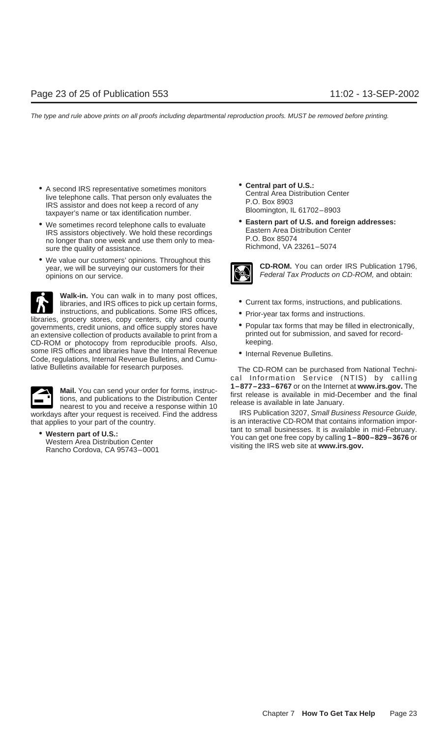- A second IRS representative sometimes monitors<br>
live telephone calls. That person only evaluates the<br>
IRS assistor and does not keep a record of any<br>
taxpayer's name or tax identification number.<br>
<br>
all 61702–8903<br>
Bloom
- We sometimes record telephone calls to evaluate IRS assistors objectively. We hold these recordings<br>IRS assistors objectively. We hold these recordings<br>no longer than one week and use them only to mea-<br>sure the quality o sure the quality of assistance.
- We value our customers' opinions. Throughout this year, we will be surveying our customers for their **CD-ROM.** You can order IRS Publication 1796, opinions on our service.

**Walk-in.** You can walk in to many post offices,<br>libraries, and IRS offices to pick up certain forms,<br>instructions, and publications. Some IRS offices,<br>entity-vear tax forms and instructions INSTRUCTIONS, and publications. Some IRS offices,<br>libraries, grocery stores, copy centers, city and county<br>novernments credit unions and office supply stores have **Contract Propular tax forms** that may be filled in electro governments, credit unions, and office supply stores have • Popular tax forms that may be filled in electronica<br>an extensive collection of products available to print from a beginnted out for submission, and saved for reco an extensive collection of products available to print from a printed out for submission, and save for the co-<br>CD-ROM or photocopy from reproducible proofs. Also, and save for record-CD-ROM or photocopy from reproducible proofs. Also, some IRS offices and libraries have the Internal Revenue • Internal Revenue Bulletins.<br>Code, regulations, Internal Revenue Bulletins, and Cumu-



**Mail.** You can send your order for forms, instruce  $1-877-233-6767$  or on the Internet at www.irs.gov. The<br>tions, and publications to the Distribution Center<br>nearest to you and receive a response within 10<br>s after your r workdays after your request is received. Find the address

- 
- 



- 
- 
- 
- 

lative Bulletins available for research purposes. The CD-ROM can be purchased from National Technical Information Service (NTIS) by calling

that applies to your part of the country. is an interactive CD-ROM that contains information impor-• Western part of U.S.:<br>Western Area Distribution Center Metal Center Muslim and Exercise of U.S.:<br>Rancho Cordova, CA 95743-0001 visiting the IRS web site at www.irs.gov.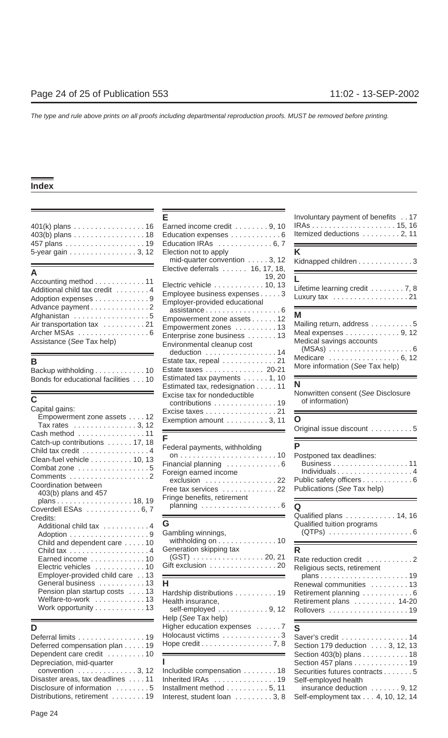| 5-year gain 3, 12 Election not to apply |                                              |  |
|-----------------------------------------|----------------------------------------------|--|
|                                         | المتحافظ والمتحدث والمتعاط والمتحدث المالحون |  |

| Accounting method 11          |
|-------------------------------|
| Additional child tax credit 4 |
| Adoption expenses 9           |
| Advance payment 2             |
|                               |
| Air transportation tax 21     |
| Archer MSAs 6                 |
| Assistance (See Tax help)     |

| Backup withholding 10               |  |  |
|-------------------------------------|--|--|
| Bonds for educational facilities 10 |  |  |

| Capital gains:<br>Empowerment zone assets 12<br>Tax rates $\ldots \ldots \ldots \ldots 3, 12$                                                                        | Excise taxes 21<br>Exemption amount $\dots \dots \dots 3, 11$                                                 | O                                                                                                                                                                                                                                                                                                                                                                                                                                                                                                                                                            |
|----------------------------------------------------------------------------------------------------------------------------------------------------------------------|---------------------------------------------------------------------------------------------------------------|--------------------------------------------------------------------------------------------------------------------------------------------------------------------------------------------------------------------------------------------------------------------------------------------------------------------------------------------------------------------------------------------------------------------------------------------------------------------------------------------------------------------------------------------------------------|
| Cash method 11<br>Catch-up contributions  17, 18<br>Child tax credit 4<br>Clean-fuel vehicle 10, 13<br>Combat zone 5<br>Coordination between<br>403(b) plans and 457 | Federal payments, withholding<br>Financial planning 6<br>Foreign earned income<br>Free tax services 22        | Original issue discount 5<br>Postponed tax deadlines:<br>Individuals4<br>Public safety officers 6<br>Publications (See Tax help)                                                                                                                                                                                                                                                                                                                                                                                                                             |
| plans 18, 19<br>Coverdell ESAs 6, 7<br>Credits:<br>Additional child tax 4                                                                                            | Fringe benefits, retirement<br>G<br>Gambling winnings,                                                        | Qualified plans 14, 16<br>Qualified tuition programs                                                                                                                                                                                                                                                                                                                                                                                                                                                                                                         |
| Child and dependent care 10<br>Earned income 10<br>Electric vehicles 10<br>Employer-provided child care 13                                                           | withholding on $\dots \dots \dots \dots 10$<br>Generation skipping tax<br>$(GST)$ 20, 21<br>Gift exclusion 20 | R<br>Rate reduction credit 2<br>Religious sects, retirement                                                                                                                                                                                                                                                                                                                                                                                                                                                                                                  |
| General business 13<br>Pension plan startup costs 13<br>Welfare-to-work 13<br>Work opportunity 13                                                                    | н<br>Hardship distributions 19<br>Health insurance,<br>colf-amployed                                          | Renewal communities 13<br>Retirement planning 6<br>Retirement plans 14-20<br>$0, 12$ $\blacksquare$ $\blacksquare$ $\blacksquare$ $\blacksquare$ $\blacksquare$ $\blacksquare$ $\blacksquare$ $\blacksquare$ $\blacksquare$ $\blacksquare$ $\blacksquare$ $\blacksquare$ $\blacksquare$ $\blacksquare$ $\blacksquare$ $\blacksquare$ $\blacksquare$ $\blacksquare$ $\blacksquare$ $\blacksquare$ $\blacksquare$ $\blacksquare$ $\blacksquare$ $\blacksquare$ $\blacksquare$ $\blacksquare$ $\blacksquare$ $\blacksquare$ $\blacksquare$ $\blacksquare$ $\bl$ |

|                                    | Deferral limits 19 Holocaust victims 3 Saver's credit 14                                   |                      |
|------------------------------------|--------------------------------------------------------------------------------------------|----------------------|
|                                    | Deferred compensation plan 19 Hope credit 7, 8 Section 179 deduction 3, 12, 13             |                      |
|                                    | Dependent care credit 10 <b>EXECUTE:</b> Section 403(b) plans 18                           |                      |
| Depreciation, mid-quarter <b>I</b> |                                                                                            | Section 457 plans 19 |
|                                    | convention 3, 12 Includible compensation  18 Securities futures contracts 5                |                      |
|                                    | Disaster areas, tax deadlines 11 Inherited IRAs 19 Self-employed health                    |                      |
|                                    | Disclosure of information 5 Installment method 5, 11 insurance deduction 9, 12             |                      |
|                                    | Distributions, retirement 19 Interest, student loan 3, 8 Self-employment tax 4, 10, 12, 14 |                      |

|                                                                                                               |                                                                                                                                                                                                                                  | $\frac{1}{2}$                                                                     |
|---------------------------------------------------------------------------------------------------------------|----------------------------------------------------------------------------------------------------------------------------------------------------------------------------------------------------------------------------------|-----------------------------------------------------------------------------------|
| 401(k) plans 16<br>403(b) plans 18                                                                            | Earned income credit 9, 10<br>Education expenses 6                                                                                                                                                                               | Itemized deductions 2, 11                                                         |
| 457 plans 19                                                                                                  | Education IRAs 6, 7                                                                                                                                                                                                              |                                                                                   |
| 5-year gain 3, 12                                                                                             | Election not to apply<br>mid-quarter convention $\ldots$ . 3, 12                                                                                                                                                                 | K.<br>Kidnapped children 3                                                        |
|                                                                                                               | Elective deferrals $\dots \dots$ 16, 17, 18,                                                                                                                                                                                     |                                                                                   |
| Accounting method 11<br>Additional child tax credit 4<br>Adoption expenses 9                                  | 19, 20<br>Electric vehicle 10, 13<br>Employee business expenses 3<br>Employer-provided educational                                                                                                                               | Lifetime learning credit 7, 8<br>Luxury tax 21                                    |
| Advance payment 2<br>Afghanistan 5<br>Air transportation tax 21<br>Archer MSAs 6<br>Assistance (See Tax help) | $assistance \ldots \ldots \ldots \ldots \ldots \ldots 6$<br>Empowerment zone assets 12<br>Empowerment zones 13<br>Enterprise zone business 13<br>Environmental cleanup cost<br>deduction $\ldots \ldots \ldots \ldots \ldots 14$ | Μ<br>Mailing return, address 5<br>Meal expenses 9, 12<br>Medical savings accounts |
| В<br>Backup withholding10                                                                                     | Estate tax, repeal 21<br>Estate taxes 20-21                                                                                                                                                                                      | Medicare  6, 12<br>More information (See Tax help)                                |
| Bonds for educational facilities 10                                                                           | Estimated tax payments 1, 10<br>Estimated tax, redesignation 11                                                                                                                                                                  | N                                                                                 |
| Ć<br>Capital gains:                                                                                           | Excise tax for nondeductible<br>contributions 19<br>Excise taxes 21                                                                                                                                                              | Nonwritten consent (See Disclosure<br>of information)                             |
| Empowerment zone assets 12<br>Tax rates $\dots \dots \dots \dots \dots 3, 12$                                 | Exemption amount $\ldots \ldots \ldots 3, 11$                                                                                                                                                                                    | O<br>Original issue discount<br>.5                                                |

| Federal payments, withholding |
|-------------------------------|
|                               |
| inancial planning 6           |
| Foreign earned income         |
| exclusion 22                  |
| Free tax services 22          |
| Fringe benefits, retirement   |
| planning 6                    |
|                               |

| Adoption 9 Gambling winnings, | Child and dependent care $\dots$ . 10 withholding on $\dots$ 10 $\longrightarrow$                                        | (QTPs) |
|-------------------------------|--------------------------------------------------------------------------------------------------------------------------|--------|
|                               | Child tax 4 Generation skipping tax                                                                                      |        |
|                               | Earned income $\ldots \ldots \ldots 10$ (GST) $\ldots \ldots \ldots \ldots \ldots 20, 21$ Rate reduction credit $\ldots$ |        |
|                               | Electric vehicles 10 Gift exclusion 20 Religious sects, retirement<br>$Fm\nu$                                            |        |

| Work opportunity 13<br>Help (See Tax help) | Pension plan startup costs 13 Hardship distributions 19 Retirement planning 6<br>Welfare-to-work 13 Health insurance,<br>self-employed 9, 12 Rollovers 19                                                                                                                                                                                                               | Retirement plans  14-20 |
|--------------------------------------------|-------------------------------------------------------------------------------------------------------------------------------------------------------------------------------------------------------------------------------------------------------------------------------------------------------------------------------------------------------------------------|-------------------------|
| D                                          | Higher education expenses $\dots 7$ S<br>Deferral limits...............19  Holocaust victims............3  Saver's credit...............14<br>Deferred compensation plan $\dots$ . 19 Hope credit $\dots$ 7, 8 Section 179 deduction $\dots$ . 3, 12, 13<br>Dependent care credit $\dots \dots \dots 10$ $\longrightarrow$ Dependent Care credit $\dots \dots \dots 18$ |                         |

| convention 3, 12 Includible compensation  18 Securities futures contracts5                 |  |
|--------------------------------------------------------------------------------------------|--|
| Disaster areas, tax deadlines  11 Inherited IRAs  19 Self-employed health                  |  |
| Disclosure of information 5 Installment method 5, 11 insurance deduction 9, 12             |  |
| Distributions, retirement 19 Interest, student loan 3, 8 Self-employment tax 4, 10, 12, 14 |  |

| Е                                                                                                                                                                                                                                          | Involuntary payment of benefits 17                                                                                                      |
|--------------------------------------------------------------------------------------------------------------------------------------------------------------------------------------------------------------------------------------------|-----------------------------------------------------------------------------------------------------------------------------------------|
| Earned income credit 9, 10<br>Education expenses 6                                                                                                                                                                                         | Itemized deductions 2, 11                                                                                                               |
| Education IRAs 6, 7                                                                                                                                                                                                                        |                                                                                                                                         |
| Election not to apply<br>mid-quarter convention 3, 12                                                                                                                                                                                      | K                                                                                                                                       |
| Elective deferrals  16, 17, 18,                                                                                                                                                                                                            | Kidnapped children 3                                                                                                                    |
| 19, 20<br>Electric vehicle 10, 13<br>Employee business expenses 3                                                                                                                                                                          | L.<br>Lifetime learning credit 7, 8                                                                                                     |
| Employer-provided educational                                                                                                                                                                                                              | Luxury tax 21                                                                                                                           |
| $assistance \ldots \ldots \ldots \ldots \ldots \ldots 6$<br>Empowerment zone assets 12<br>Empowerment zones 13<br>Enterprise zone business 13<br>Environmental cleanup cost<br>deduction 14<br>Estate tax, repeal 21<br>Estate taxes 20-21 | Μ<br>Mailing return, address 5<br>Meal expenses 9, 12<br>Medical savings accounts<br>Medicare  6, 12<br>More information (See Tax help) |
| Estimated tax payments 1, 10<br>Estimated tax, redesignation 11<br>Excise tax for nondeductible<br>contributions 19                                                                                                                        | N<br>Nonwritten consent (See Disclosure<br>of information)                                                                              |
| Excise taxes 21<br>Exemption amount 3, 11                                                                                                                                                                                                  | O<br>Original issue discount 5                                                                                                          |
| F                                                                                                                                                                                                                                          | P                                                                                                                                       |
| Federal payments, withholding<br>10                                                                                                                                                                                                        | Postponed tax deadlines:                                                                                                                |
|                                                                                                                                                                                                                                            |                                                                                                                                         |

| ostponed tax deadlines:     |  |
|-----------------------------|--|
|                             |  |
| Individuals                 |  |
| ublic safety officers       |  |
| uhlications (See Tay heln). |  |

|                                                                   | werdell ESAs $\ldots \ldots \ldots \ldots$ b, $\ell$       | <b>and Contract Construction Constraining Constitution</b> Qualified plans 14, 16 |
|-------------------------------------------------------------------|------------------------------------------------------------|-----------------------------------------------------------------------------------|
| edits:                                                            |                                                            |                                                                                   |
| Additional child tax $\,\ldots\,\ldots\,\ldots\,\ldots\,4\quad$ G |                                                            | Qualified tuition programs                                                        |
|                                                                   | Gambling winnings,                                         |                                                                                   |
| Child and dependent care  10                                      |                                                            | withholding on 10 $\longrightarrow$                                               |
|                                                                   | Generation skipping tax                                    |                                                                                   |
| Earned income 10                                                  | (GST) 20, 21                                               | Rate reduction credit 2                                                           |
| Electric vehicles 10                                              | Gift exclusion 20                                          | Religious sects, retirement                                                       |
|                                                                   |                                                            |                                                                                   |
| General business 13 H                                             |                                                            | Renewal communities 13                                                            |
| Pension plan startup costs  13                                    | Hardship distributions 19 Retirement planning 6            |                                                                                   |
|                                                                   | Welfare-to-work $\ldots \ldots \ldots 13$ Health insurance | Ratiramant plane 11.20                                                            |

| Deferral limits 19 Holocaust victims 3 Saver's credit 14<br>Deferred compensation plan 19 Hope credit $\ldots \ldots \ldots \ldots \ldots \ldots$ 7, 8 Section 179 deduction $\ldots$ . 3, 12, 13                                    |                                                                                                                                                                                                                                                                   |
|--------------------------------------------------------------------------------------------------------------------------------------------------------------------------------------------------------------------------------------|-------------------------------------------------------------------------------------------------------------------------------------------------------------------------------------------------------------------------------------------------------------------|
|                                                                                                                                                                                                                                      |                                                                                                                                                                                                                                                                   |
| Depreciation, mid-quarter <b>container and the set of the set of the set of the set of the set of the set of the set of the set of the set of the set of the set of the set of the set of the set of the set of the set of the s</b> | Section 457 plans 19                                                                                                                                                                                                                                              |
|                                                                                                                                                                                                                                      |                                                                                                                                                                                                                                                                   |
|                                                                                                                                                                                                                                      |                                                                                                                                                                                                                                                                   |
| Disclosure of information 5 Installment method 5, 11 insurance deduction 9, 12                                                                                                                                                       |                                                                                                                                                                                                                                                                   |
| Distributions, retirement 19 Interest, student loan 3, 8 Self-employment tax 4, 10, 12, 14                                                                                                                                           |                                                                                                                                                                                                                                                                   |
|                                                                                                                                                                                                                                      | Dependent care credit $\dots \dots \dots 10$ $\longrightarrow$ $\longrightarrow$ Section 403(b) plans 18<br>convention 3, 12 Includible compensation  18 Securities futures contracts5<br>Disaster areas, tax deadlines 11 Inherited IRAs 19 Self-employed health |